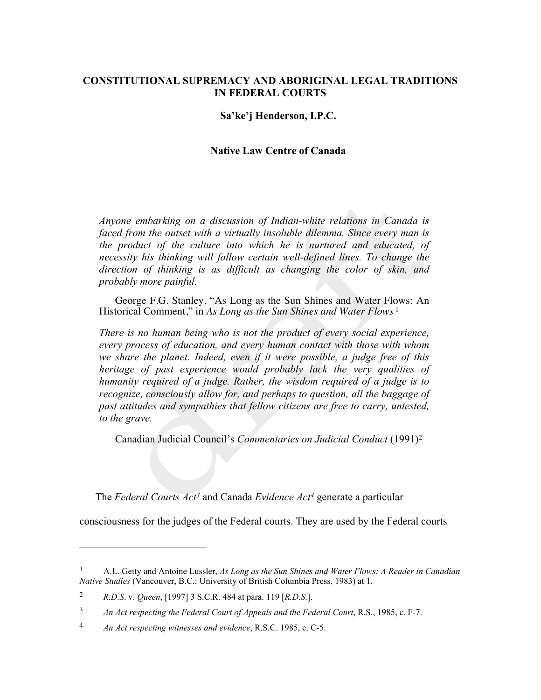### **CONSTITUTIONAL SUPREMACY AND ABORIGINAL LEGAL TRADITIONS IN FEDERAL COURTS**

#### **Sa'ke'j Henderson, I.P.C.**

#### **Native Law Centre of Canada**

*Anyone embarking on a discussion of Indian-white relations in Canada is faced from the outset with a virtually insoluble dilemma. Since every man is the product of the culture into which he is nurtured and educated, of necessity his thinking will follow certain well-defined lines. To change the direction of thinking is as difficult as changing the color of skin, and probably more painful.*

George F.G. Stanley, "As Long as the Sun Shines and Water Flows: An Historical Comment," in *As Long as the Sun Shines and Water Flows* <sup>1</sup>

*There is no human being who is not the product of every social experience, every process of education, and every human contact with those with whom we share the planet. Indeed, even if it were possible, a judge free of this heritage of past experience would probably lack the very qualities of humanity required of a judge. Rather, the wisdom required of a judge is to recognize, consciously allow for, and perhaps to question, all the baggage of past attitudes and sympathies that fellow citizens are free to carry, untested, to the grave.* 

Canadian Judicial Council's *Commentaries on Judicial Conduct* (1991)<sup>2</sup>

The *Federal Courts Act3* and Canada *Evidence Act4* generate a particular

consciousness for the judges of the Federal courts. They are used by the Federal courts

<sup>1</sup> A.L. Getty and Antoine Lussler, *As Long as the Sun Shines and Water Flows: A Reader in Canadian Native Studies* (Vancouver, B.C.: University of British Columbia Press, 1983) at 1.

<sup>2</sup> *R.D.S*. v. *Queen*, [1997] 3 S.C.R. 484 at para. 119 [*R.D.S*.].

<sup>&</sup>lt;sup>3</sup> *An Act respecting the Federal Court of Appeals and the Federal Court, R.S., 1985, c. F-7.* 

<sup>4</sup> *An Act respecting witnesses and evidence*, R.S.C. 1985, c. C-5.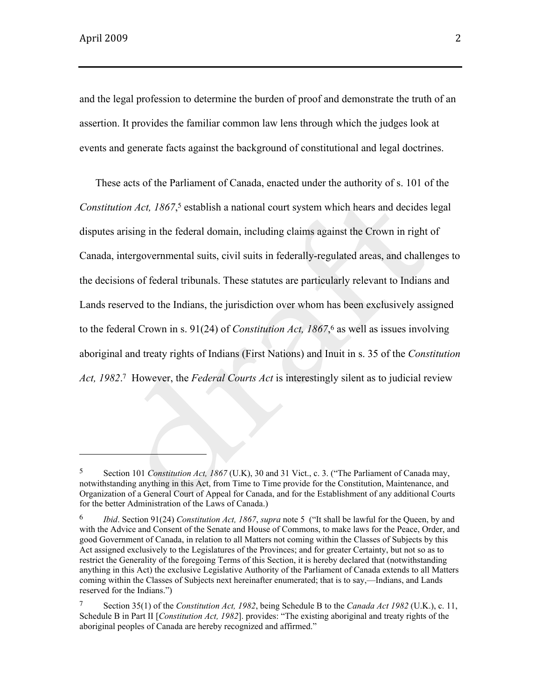and the legal profession to determine the burden of proof and demonstrate the truth of an assertion. It provides the familiar common law lens through which the judges look at events and generate facts against the background of constitutional and legal doctrines.

These acts of the Parliament of Canada, enacted under the authority of s. 101 of the *Constitution Act, 1867*, <sup>5</sup> establish a national court system which hears and decides legal disputes arising in the federal domain, including claims against the Crown in right of Canada, intergovernmental suits, civil suits in federally-regulated areas, and challenges to the decisions of federal tribunals. These statutes are particularly relevant to Indians and Lands reserved to the Indians, the jurisdiction over whom has been exclusively assigned to the federal Crown in s. 91(24) of *Constitution Act, 1867*,<sup>6</sup> as well as issues involving aboriginal and treaty rights of Indians (First Nations) and Inuit in s. 35 of the *Constitution Act, 1982*. <sup>7</sup> However, the *Federal Courts Act* is interestingly silent as to judicial review

<sup>5</sup> Section 101 *Constitution Act, 1867* (U.K), 30 and 31 Vict., c. 3. ("The Parliament of Canada may, notwithstanding anything in this Act, from Time to Time provide for the Constitution, Maintenance, and Organization of a General Court of Appeal for Canada, and for the Establishment of any additional Courts for the better Administration of the Laws of Canada.)

<sup>6</sup> *Ibid*. Section 91(24) *Constitution Act, 1867*, *supra* note 5 ("It shall be lawful for the Queen, by and with the Advice and Consent of the Senate and House of Commons, to make laws for the Peace, Order, and good Government of Canada, in relation to all Matters not coming within the Classes of Subjects by this Act assigned exclusively to the Legislatures of the Provinces; and for greater Certainty, but not so as to restrict the Generality of the foregoing Terms of this Section, it is hereby declared that (notwithstanding anything in this Act) the exclusive Legislative Authority of the Parliament of Canada extends to all Matters coming within the Classes of Subjects next hereinafter enumerated; that is to say,—Indians, and Lands reserved for the Indians.")

<sup>7</sup> Section 35(1) of the *Constitution Act, 1982*, being Schedule B to the *Canada Act 1982* (U.K.), c. 11, Schedule B in Part II [*Constitution Act, 1982*]. provides: "The existing aboriginal and treaty rights of the aboriginal peoples of Canada are hereby recognized and affirmed."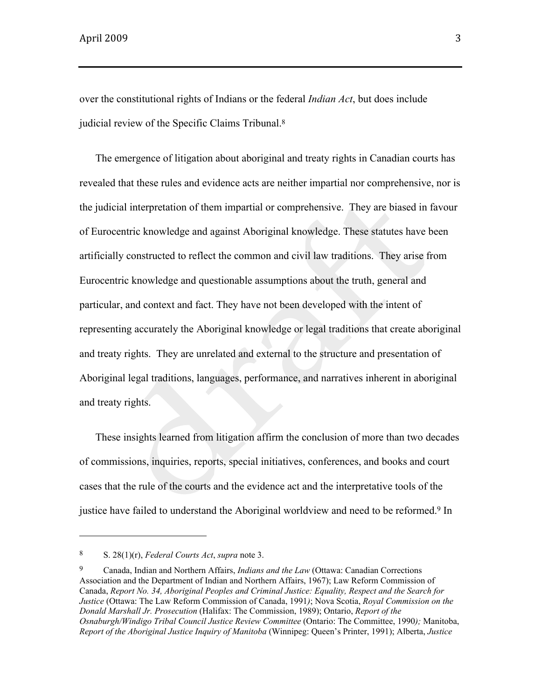over the constitutional rights of Indians or the federal *Indian Act*, but does include judicial review of the Specific Claims Tribunal.<sup>8</sup>

The emergence of litigation about aboriginal and treaty rights in Canadian courts has revealed that these rules and evidence acts are neither impartial nor comprehensive, nor is the judicial interpretation of them impartial or comprehensive. They are biased in favour of Eurocentric knowledge and against Aboriginal knowledge. These statutes have been artificially constructed to reflect the common and civil law traditions. They arise from Eurocentric knowledge and questionable assumptions about the truth, general and particular, and context and fact. They have not been developed with the intent of representing accurately the Aboriginal knowledge or legal traditions that create aboriginal and treaty rights. They are unrelated and external to the structure and presentation of Aboriginal legal traditions, languages, performance, and narratives inherent in aboriginal and treaty rights.

These insights learned from litigation affirm the conclusion of more than two decades of commissions, inquiries, reports, special initiatives, conferences, and books and court cases that the rule of the courts and the evidence act and the interpretative tools of the justice have failed to understand the Aboriginal worldview and need to be reformed.<sup>9</sup> In

<sup>8</sup> S. 28(1)(r), *Federal Courts Act*, *supra* note 3.

<sup>9</sup> Canada, Indian and Northern Affairs, *Indians and the Law* (Ottawa: Canadian Corrections Association and the Department of Indian and Northern Affairs, 1967); Law Reform Commission of Canada, *Report No. 34, Aboriginal Peoples and Criminal Justice: Equality, Respect and the Search for Justice* (Ottawa: The Law Reform Commission of Canada, 1991*)*; Nova Scotia, *Royal Commission on the Donald Marshall Jr. Prosecution* (Halifax: The Commission, 1989); Ontario, *Report of the Osnaburgh/Windigo Tribal Council Justice Review Committee* (Ontario: The Committee, 1990*);* Manitoba, *Report of the Aboriginal Justice Inquiry of Manitoba* (Winnipeg: Queen's Printer, 1991); Alberta, *Justice*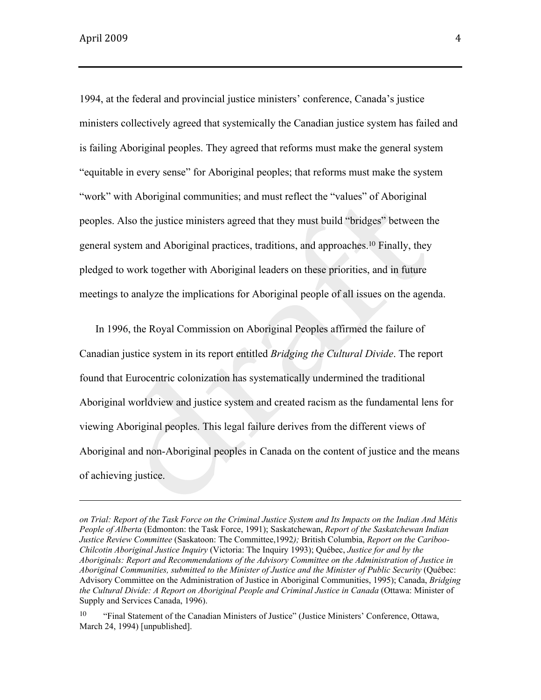1994, at the federal and provincial justice ministers' conference, Canada's justice ministers collectively agreed that systemically the Canadian justice system has failed and is failing Aboriginal peoples. They agreed that reforms must make the general system "equitable in every sense" for Aboriginal peoples; that reforms must make the system "work" with Aboriginal communities; and must reflect the "values" of Aboriginal peoples. Also the justice ministers agreed that they must build "bridges" between the general system and Aboriginal practices, traditions, and approaches.10 Finally, they pledged to work together with Aboriginal leaders on these priorities, and in future meetings to analyze the implications for Aboriginal people of all issues on the agenda.

In 1996, the Royal Commission on Aboriginal Peoples affirmed the failure of Canadian justice system in its report entitled *Bridging the Cultural Divide*. The report found that Eurocentric colonization has systematically undermined the traditional Aboriginal worldview and justice system and created racism as the fundamental lens for viewing Aboriginal peoples. This legal failure derives from the different views of Aboriginal and non-Aboriginal peoples in Canada on the content of justice and the means of achieving justice.

<u> 1989 - Andrea Santa Andrea Andrea Andrea Andrea Andrea Andrea Andrea Andrea Andrea Andrea Andrea Andrea Andr</u>

*on Trial: Report of the Task Force on the Criminal Justice System and Its Impacts on the Indian And Métis People of Alberta* (Edmonton: the Task Force, 1991); Saskatchewan, *Report of the Saskatchewan Indian Justice Review Committee* (Saskatoon: The Committee,1992*);* British Columbia, *Report on the Cariboo-Chilcotin Aboriginal Justice Inquiry* (Victoria: The Inquiry 1993); Québec, *Justice for and by the Aboriginals: Report and Recommendations of the Advisory Committee on the Administration of Justice in Aboriginal Communities, submitted to the Minister of Justice and the Minister of Public Security* (Québec: Advisory Committee on the Administration of Justice in Aboriginal Communities, 1995); Canada, *Bridging the Cultural Divide: A Report on Aboriginal People and Criminal Justice in Canada* (Ottawa: Minister of Supply and Services Canada, 1996).

<sup>&</sup>lt;sup>10</sup> "Final Statement of the Canadian Ministers of Justice" (Justice Ministers' Conference, Ottawa, March 24, 1994) [unpublished].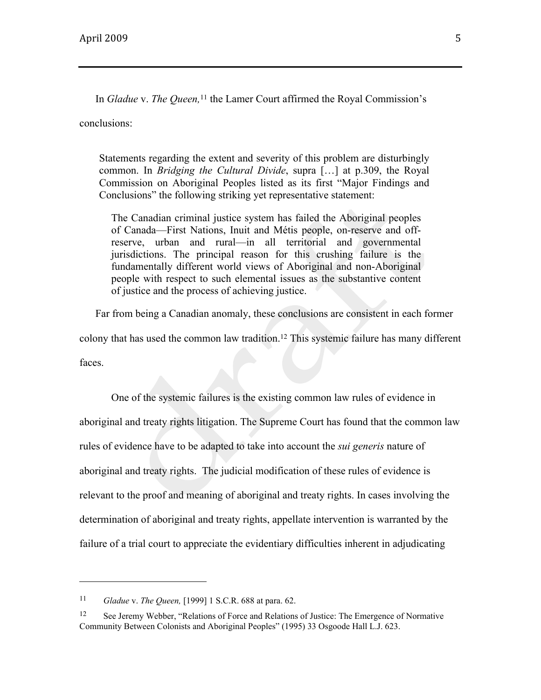In *Gladue* v. *The Queen,*<sup>11</sup> the Lamer Court affirmed the Royal Commission's conclusions:

Statements regarding the extent and severity of this problem are disturbingly common. In *Bridging the Cultural Divide*, supra […] at p.309, the Royal Commission on Aboriginal Peoples listed as its first "Major Findings and Conclusions" the following striking yet representative statement:

The Canadian criminal justice system has failed the Aboriginal peoples of Canada—First Nations, Inuit and Métis people, on-reserve and offreserve, urban and rural—in all territorial and governmental jurisdictions. The principal reason for this crushing failure is the fundamentally different world views of Aboriginal and non-Aboriginal people with respect to such elemental issues as the substantive content of justice and the process of achieving justice.

Far from being a Canadian anomaly, these conclusions are consistent in each former

colony that has used the common law tradition.12 This systemic failure has many different faces.

One of the systemic failures is the existing common law rules of evidence in aboriginal and treaty rights litigation. The Supreme Court has found that the common law rules of evidence have to be adapted to take into account the *sui generis* nature of aboriginal and treaty rights. The judicial modification of these rules of evidence is relevant to the proof and meaning of aboriginal and treaty rights. In cases involving the determination of aboriginal and treaty rights, appellate intervention is warranted by the failure of a trial court to appreciate the evidentiary difficulties inherent in adjudicating

<sup>11</sup> *Gladue* v. *The Queen,* [1999] 1 S.C.R. 688 at para. 62.

<sup>12</sup> See Jeremy Webber, "Relations of Force and Relations of Justice: The Emergence of Normative Community Between Colonists and Aboriginal Peoples" (1995) 33 Osgoode Hall L.J. 623.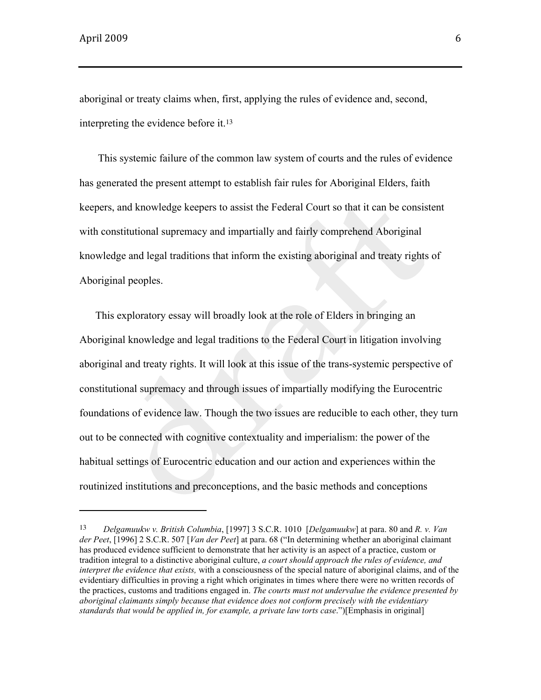aboriginal or treaty claims when, first, applying the rules of evidence and, second, interpreting the evidence before it.<sup>13</sup>

This systemic failure of the common law system of courts and the rules of evidence has generated the present attempt to establish fair rules for Aboriginal Elders, faith keepers, and knowledge keepers to assist the Federal Court so that it can be consistent with constitutional supremacy and impartially and fairly comprehend Aboriginal knowledge and legal traditions that inform the existing aboriginal and treaty rights of Aboriginal peoples.

This exploratory essay will broadly look at the role of Elders in bringing an Aboriginal knowledge and legal traditions to the Federal Court in litigation involving aboriginal and treaty rights. It will look at this issue of the trans-systemic perspective of constitutional supremacy and through issues of impartially modifying the Eurocentric foundations of evidence law. Though the two issues are reducible to each other, they turn out to be connected with cognitive contextuality and imperialism: the power of the habitual settings of Eurocentric education and our action and experiences within the routinized institutions and preconceptions, and the basic methods and conceptions

<sup>13</sup> *Delgamuukw v. British Columbia*, [1997] 3 S.C.R. 1010 [*Delgamuukw*] at para. 80 and *R. v. Van der Peet*, [1996] 2 S.C.R. 507 [*Van der Peet*] at para. 68 ("In determining whether an aboriginal claimant has produced evidence sufficient to demonstrate that her activity is an aspect of a practice, custom or tradition integral to a distinctive aboriginal culture, *a court should approach the rules of evidence, and interpret the evidence that exists,* with a consciousness of the special nature of aboriginal claims, and of the evidentiary difficulties in proving a right which originates in times where there were no written records of the practices, customs and traditions engaged in. *The courts must not undervalue the evidence presented by aboriginal claimants simply because that evidence does not conform precisely with the evidentiary standards that would be applied in, for example, a private law torts case*.")[Emphasis in original]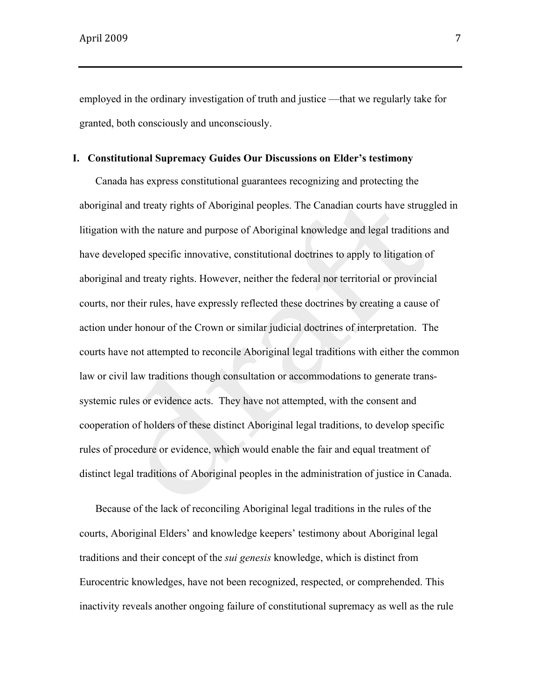employed in the ordinary investigation of truth and justice —that we regularly take for granted, both consciously and unconsciously.

#### **I. Constitutional Supremacy Guides Our Discussions on Elder's testimony**

Canada has express constitutional guarantees recognizing and protecting the aboriginal and treaty rights of Aboriginal peoples. The Canadian courts have struggled in litigation with the nature and purpose of Aboriginal knowledge and legal traditions and have developed specific innovative, constitutional doctrines to apply to litigation of aboriginal and treaty rights. However, neither the federal nor territorial or provincial courts, nor their rules, have expressly reflected these doctrines by creating a cause of action under honour of the Crown or similar judicial doctrines of interpretation. The courts have not attempted to reconcile Aboriginal legal traditions with either the common law or civil law traditions though consultation or accommodations to generate transsystemic rules or evidence acts. They have not attempted, with the consent and cooperation of holders of these distinct Aboriginal legal traditions, to develop specific rules of procedure or evidence, which would enable the fair and equal treatment of distinct legal traditions of Aboriginal peoples in the administration of justice in Canada.

Because of the lack of reconciling Aboriginal legal traditions in the rules of the courts, Aboriginal Elders' and knowledge keepers' testimony about Aboriginal legal traditions and their concept of the *sui genesis* knowledge, which is distinct from Eurocentric knowledges, have not been recognized, respected, or comprehended. This inactivity reveals another ongoing failure of constitutional supremacy as well as the rule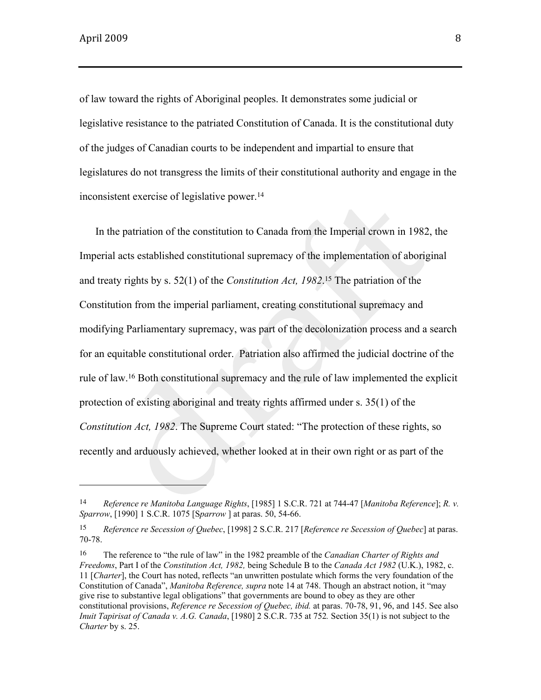of law toward the rights of Aboriginal peoples. It demonstrates some judicial or legislative resistance to the patriated Constitution of Canada. It is the constitutional duty of the judges of Canadian courts to be independent and impartial to ensure that legislatures do not transgress the limits of their constitutional authority and engage in the inconsistent exercise of legislative power.<sup>14</sup>

In the patriation of the constitution to Canada from the Imperial crown in 1982, the Imperial acts established constitutional supremacy of the implementation of aboriginal and treaty rights by s. 52(1) of the *Constitution Act, 1982*. <sup>15</sup> The patriation of the Constitution from the imperial parliament, creating constitutional supremacy and modifying Parliamentary supremacy, was part of the decolonization process and a search for an equitable constitutional order. Patriation also affirmed the judicial doctrine of the rule of law.16 Both constitutional supremacy and the rule of law implemented the explicit protection of existing aboriginal and treaty rights affirmed under s. 35(1) of the *Constitution Act, 1982*. The Supreme Court stated: "The protection of these rights, so recently and arduously achieved, whether looked at in their own right or as part of the

<sup>14</sup> *Reference re Manitoba Language Rights*, [1985] 1 S.C.R. 721 at 744-47 [*Manitoba Reference*]; *R. v. Sparrow*, [1990] 1 S.C.R. 1075 [S*parrow* ] at paras. 50, 54-66.

<sup>15</sup> *Reference re Secession of Quebec*, [1998] 2 S.C.R. 217 [*Reference re Secession of Quebec*] at paras. 70-78.

<sup>16</sup> The reference to "the rule of law" in the 1982 preamble of the *Canadian Charter of Rights and Freedoms*, Part I of the *Constitution Act, 1982,* being Schedule B to the *Canada Act 1982* (U.K.), 1982, c. 11 [*Charter*], the Court has noted, reflects "an unwritten postulate which forms the very foundation of the Constitution of Canada", *Manitoba Reference, supra* note 14 at 748. Though an abstract notion, it "may give rise to substantive legal obligations" that governments are bound to obey as they are other constitutional provisions, *Reference re Secession of Quebec, ibid.* at paras. 70-78, 91, 96, and 145. See also *Inuit Tapirisat of Canada v. A.G. Canada*, [1980] 2 S.C.R. 735 at 752*.* Section 35(1) is not subject to the *Charter* by s. 25.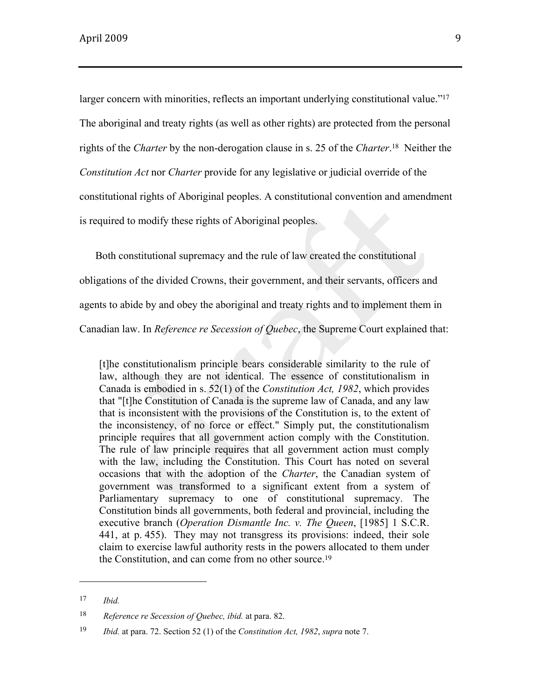larger concern with minorities, reflects an important underlying constitutional value."<sup>17</sup> The aboriginal and treaty rights (as well as other rights) are protected from the personal rights of the *Charter* by the non-derogation clause in s. 25 of the *Charter*.18 Neither the *Constitution Act* nor *Charter* provide for any legislative or judicial override of the constitutional rights of Aboriginal peoples. A constitutional convention and amendment is required to modify these rights of Aboriginal peoples.

Both constitutional supremacy and the rule of law created the constitutional

obligations of the divided Crowns, their government, and their servants, officers and

agents to abide by and obey the aboriginal and treaty rights and to implement them in

Canadian law. In *Reference re Secession of Quebec*, the Supreme Court explained that:

[t]he constitutionalism principle bears considerable similarity to the rule of law, although they are not identical. The essence of constitutionalism in Canada is embodied in s. 52(1) of the *Constitution Act, 1982*, which provides that "[t]he Constitution of Canada is the supreme law of Canada, and any law that is inconsistent with the provisions of the Constitution is, to the extent of the inconsistency, of no force or effect." Simply put, the constitutionalism principle requires that all government action comply with the Constitution. The rule of law principle requires that all government action must comply with the law, including the Constitution. This Court has noted on several occasions that with the adoption of the *Charter*, the Canadian system of government was transformed to a significant extent from a system of Parliamentary supremacy to one of constitutional supremacy. The Constitution binds all governments, both federal and provincial, including the executive branch (*Operation Dismantle Inc. v. The Queen*, [1985] 1 S.C.R. 441, at p. 455). They may not transgress its provisions: indeed, their sole claim to exercise lawful authority rests in the powers allocated to them under the Constitution, and can come from no other source.<sup>19</sup>

<sup>17</sup> *Ibid.*

<sup>18</sup> *Reference re Secession of Quebec, ibid.* at para. 82.

<sup>19</sup> *Ibid.* at para. 72. Section 52 (1) of the *Constitution Act, 1982*, *supra* note 7.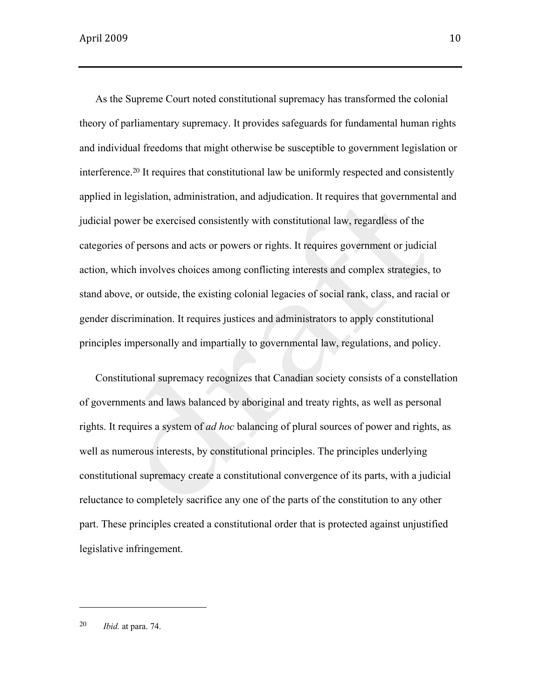As the Supreme Court noted constitutional supremacy has transformed the colonial theory of parliamentary supremacy. It provides safeguards for fundamental human rights and individual freedoms that might otherwise be susceptible to government legislation or interference.20 It requires that constitutional law be uniformly respected and consistently applied in legislation, administration, and adjudication. It requires that governmental and judicial power be exercised consistently with constitutional law, regardless of the categories of persons and acts or powers or rights. It requires government or judicial action, which involves choices among conflicting interests and complex strategies, to stand above, or outside, the existing colonial legacies of social rank, class, and racial or gender discrimination. It requires justices and administrators to apply constitutional principles impersonally and impartially to governmental law, regulations, and policy.

Constitutional supremacy recognizes that Canadian society consists of a constellation of governments and laws balanced by aboriginal and treaty rights, as well as personal rights. It requires a system of *ad hoc* balancing of plural sources of power and rights, as well as numerous interests, by constitutional principles. The principles underlying constitutional supremacy create a constitutional convergence of its parts, with a judicial reluctance to completely sacrifice any one of the parts of the constitution to any other part. These principles created a constitutional order that is protected against unjustified legislative infringement.

20 *Ibid.* at para. 74.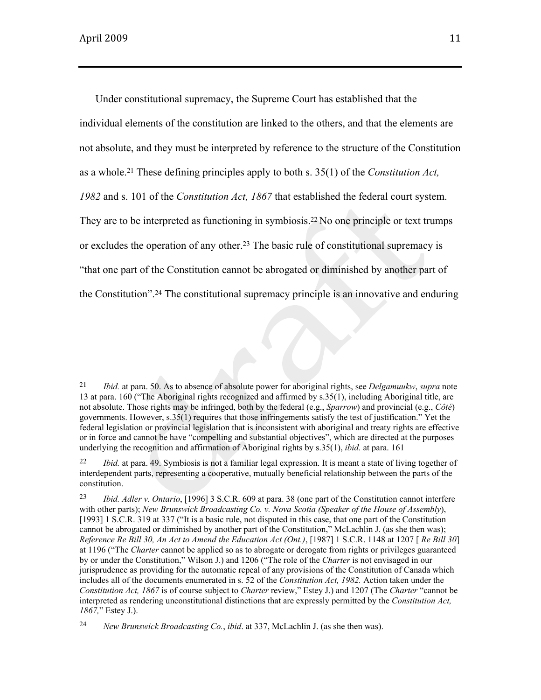Under constitutional supremacy, the Supreme Court has established that the individual elements of the constitution are linked to the others, and that the elements are not absolute, and they must be interpreted by reference to the structure of the Constitution as a whole.21 These defining principles apply to both s. 35(1) of the *Constitution Act, 1982* and s. 101 of the *Constitution Act, 1867* that established the federal court system. They are to be interpreted as functioning in symbiosis.<sup>22</sup> No one principle or text trumps or excludes the operation of any other.23 The basic rule of constitutional supremacy is "that one part of the Constitution cannot be abrogated or diminished by another part of the Constitution".24 The constitutional supremacy principle is an innovative and enduring

<sup>21</sup> *Ibid.* at para. 50. As to absence of absolute power for aboriginal rights, see *Delgamuukw*, *supra* note 13 at para. 160 ("The Aboriginal rights recognized and affirmed by s.35(1), including Aboriginal title, are not absolute. Those rights may be infringed, both by the federal (e.g., *Sparrow*) and provincial (e.g., *Côté*) governments. However, s.35(1) requires that those infringements satisfy the test of justification." Yet the federal legislation or provincial legislation that is inconsistent with aboriginal and treaty rights are effective or in force and cannot be have "compelling and substantial objectives", which are directed at the purposes underlying the recognition and affirmation of Aboriginal rights by s.35(1), *ibid.* at para. 161

<sup>22</sup> *Ibid.* at para. 49. Symbiosis is not a familiar legal expression. It is meant a state of living together of interdependent parts, representing a cooperative, mutually beneficial relationship between the parts of the constitution.

<sup>23</sup> *Ibid. Adler v. Ontario*, [1996] 3 S.C.R. 609 at para. 38 (one part of the Constitution cannot interfere with other parts); *New Brunswick Broadcasting Co. v. Nova Scotia (Speaker of the House of Assembly*), [1993] 1 S.C.R. 319 at 337 ("It is a basic rule, not disputed in this case, that one part of the Constitution cannot be abrogated or diminished by another part of the Constitution," McLachlin J. (as she then was); *Reference Re Bill 30, An Act to Amend the Education Act (Ont.)*, [1987] 1 S.C.R. 1148 at 1207 [ *Re Bill 30*] at 1196 ("The *Charter* cannot be applied so as to abrogate or derogate from rights or privileges guaranteed by or under the Constitution," Wilson J.) and 1206 ("The role of the *Charter* is not envisaged in our jurisprudence as providing for the automatic repeal of any provisions of the Constitution of Canada which includes all of the documents enumerated in s. 52 of the *Constitution Act, 1982.* Action taken under the *Constitution Act, 1867* is of course subject to *Charter* review," Estey J.) and 1207 (The *Charter* "cannot be interpreted as rendering unconstitutional distinctions that are expressly permitted by the *Constitution Act, 1867,*" Estey J.).

<sup>24</sup> *New Brunswick Broadcasting Co.*, *ibid*. at 337, McLachlin J. (as she then was).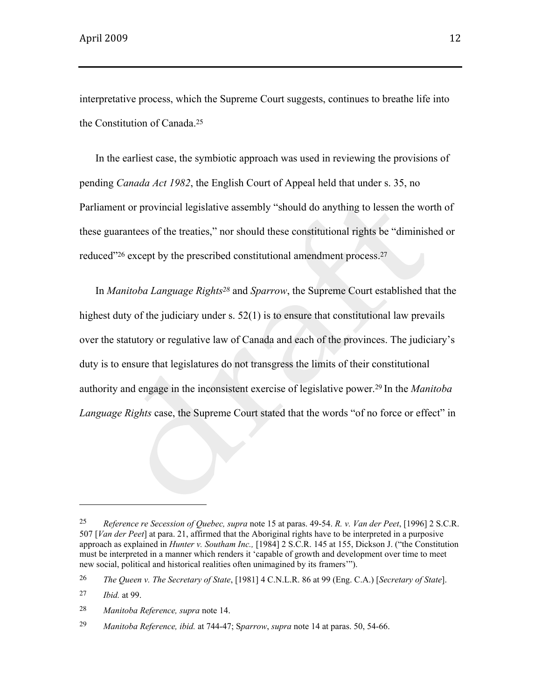interpretative process, which the Supreme Court suggests, continues to breathe life into the Constitution of Canada.<sup>25</sup>

In the earliest case, the symbiotic approach was used in reviewing the provisions of pending *Canada Act 1982*, the English Court of Appeal held that under s. 35, no Parliament or provincial legislative assembly "should do anything to lessen the worth of these guarantees of the treaties," nor should these constitutional rights be "diminished or reduced"<sup>26</sup> except by the prescribed constitutional amendment process.<sup>27</sup>

In *Manitoba Language Rights28* and *Sparrow*, the Supreme Court established that the highest duty of the judiciary under s. 52(1) is to ensure that constitutional law prevails over the statutory or regulative law of Canada and each of the provinces. The judiciary's duty is to ensure that legislatures do not transgress the limits of their constitutional authority and engage in the inconsistent exercise of legislative power.<sup>29</sup> In the *Manitoba Language Rights* case, the Supreme Court stated that the words "of no force or effect" in

<sup>25</sup> *Reference re Secession of Quebec, supra* note 15 at paras. 49-54. *R. v. Van der Peet*, [1996] 2 S.C.R. 507 [*Van der Peet*] at para. 21, affirmed that the Aboriginal rights have to be interpreted in a purposive approach as explained in *Hunter v. Southam Inc.,* [1984] 2 S.C.R. 145 at 155, Dickson J. ("the Constitution must be interpreted in a manner which renders it 'capable of growth and development over time to meet new social, political and historical realities often unimagined by its framers'").

<sup>26</sup> *The Queen v. The Secretary of State*, [1981] 4 C.N.L.R. 86 at 99 (Eng. C.A.) [*Secretary of State*].

<sup>27</sup> *Ibid.* at 99.

<sup>28</sup> *Manitoba Reference, supra* note 14.

<sup>29</sup> *Manitoba Reference, ibid.* at 744-47; S*parrow*, *supra* note 14 at paras. 50, 54-66.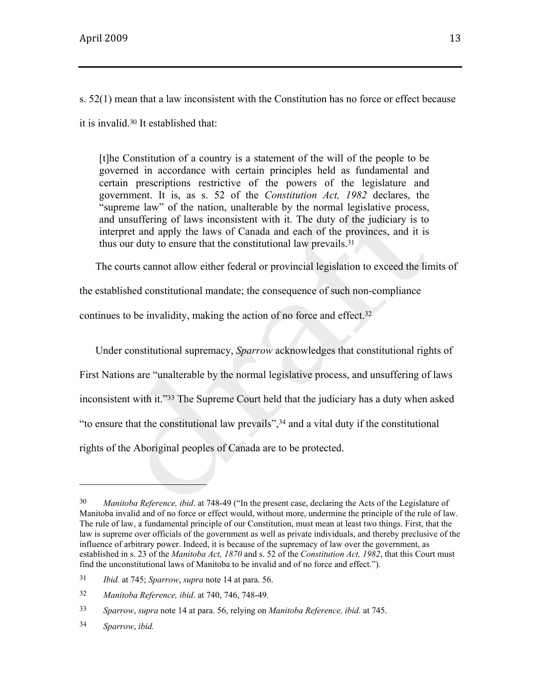s. 52(1) mean that a law inconsistent with the Constitution has no force or effect because

it is invalid.30 It established that:

[t]he Constitution of a country is a statement of the will of the people to be governed in accordance with certain principles held as fundamental and certain prescriptions restrictive of the powers of the legislature and government. It is, as s. 52 of the *Constitution Act, 1982* declares, the "supreme law" of the nation, unalterable by the normal legislative process, and unsuffering of laws inconsistent with it. The duty of the judiciary is to interpret and apply the laws of Canada and each of the provinces, and it is thus our duty to ensure that the constitutional law prevails.<sup>31</sup>

The courts cannot allow either federal or provincial legislation to exceed the limits of

the established constitutional mandate; the consequence of such non-compliance

continues to be invalidity, making the action of no force and effect.<sup>32</sup>

Under constitutional supremacy, *Sparrow* acknowledges that constitutional rights of First Nations are "unalterable by the normal legislative process, and unsuffering of laws inconsistent with it."33 The Supreme Court held that the judiciary has a duty when asked "to ensure that the constitutional law prevails",34 and a vital duty if the constitutional rights of the Aboriginal peoples of Canada are to be protected.

<sup>30</sup> *Manitoba Reference, ibid*. at 748-49 ("In the present case, declaring the Acts of the Legislature of Manitoba invalid and of no force or effect would, without more, undermine the principle of the rule of law. The rule of law, a fundamental principle of our Constitution, must mean at least two things. First, that the law is supreme over officials of the government as well as private individuals, and thereby preclusive of the influence of arbitrary power. Indeed, it is because of the supremacy of law over the government, as established in s. 23 of the *Manitoba Act, 1870* and s. 52 of the *Constitution Act, 1982*, that this Court must find the unconstitutional laws of Manitoba to be invalid and of no force and effect.").

<sup>31</sup> *Ibid.* at 745; *Sparrow*, *supra* note 14 at para. 56.

<sup>32</sup> *Manitoba Reference, ibid*. at 740, 746, 748-49.

<sup>33</sup> *Sparrow*, *supra* note 14 at para. 56, relying on *Manitoba Reference, ibid.* at 745.

<sup>34</sup> *Sparrow*, *ibid.*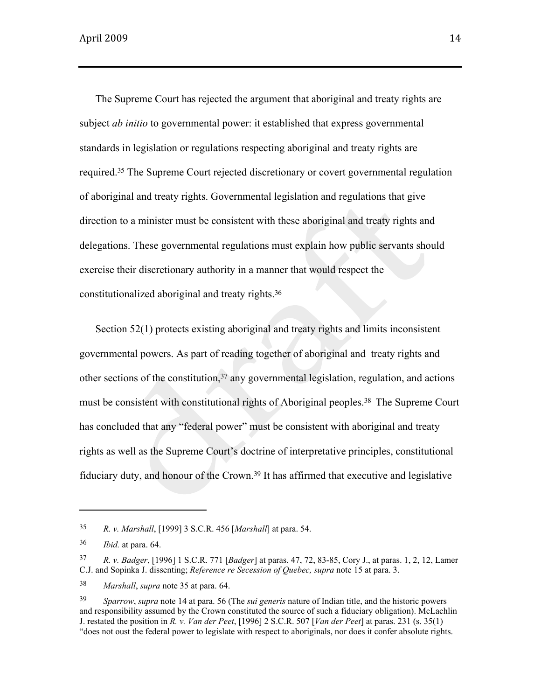The Supreme Court has rejected the argument that aboriginal and treaty rights are subject *ab initio* to governmental power: it established that express governmental standards in legislation or regulations respecting aboriginal and treaty rights are required.35 The Supreme Court rejected discretionary or covert governmental regulation of aboriginal and treaty rights. Governmental legislation and regulations that give direction to a minister must be consistent with these aboriginal and treaty rights and delegations. These governmental regulations must explain how public servants should exercise their discretionary authority in a manner that would respect the constitutionalized aboriginal and treaty rights.<sup>36</sup>

Section 52(1) protects existing aboriginal and treaty rights and limits inconsistent governmental powers. As part of reading together of aboriginal and treaty rights and other sections of the constitution,  $37$  any governmental legislation, regulation, and actions must be consistent with constitutional rights of Aboriginal peoples. <sup>38</sup> The Supreme Court has concluded that any "federal power" must be consistent with aboriginal and treaty rights as well as the Supreme Court's doctrine of interpretative principles, constitutional fiduciary duty, and honour of the Crown.<sup>39</sup> It has affirmed that executive and legislative

<sup>35</sup> *R. v. Marshall*, [1999] 3 S.C.R. 456 [*Marshall*] at para. 54.

<sup>36</sup> *Ibid.* at para. 64.

<sup>37</sup> *R. v. Badger*, [1996] 1 S.C.R. 771 [*Badger*] at paras. 47, 72, 83-85, Cory J., at paras. 1, 2, 12, Lamer C.J. and Sopinka J. dissenting; *Reference re Secession of Quebec, supra* note 15 at para. 3.

<sup>38</sup> *Marshall*, *supra* note 35 at para. 64.

<sup>39</sup> *Sparrow*, *supra* note 14 at para. 56 (The *sui generis* nature of Indian title, and the historic powers and responsibility assumed by the Crown constituted the source of such a fiduciary obligation). McLachlin J. restated the position in *R. v. Van der Peet*, [1996] 2 S.C.R. 507 [*Van der Peet*] at paras. 231 (s. 35(1) "does not oust the federal power to legislate with respect to aboriginals, nor does it confer absolute rights.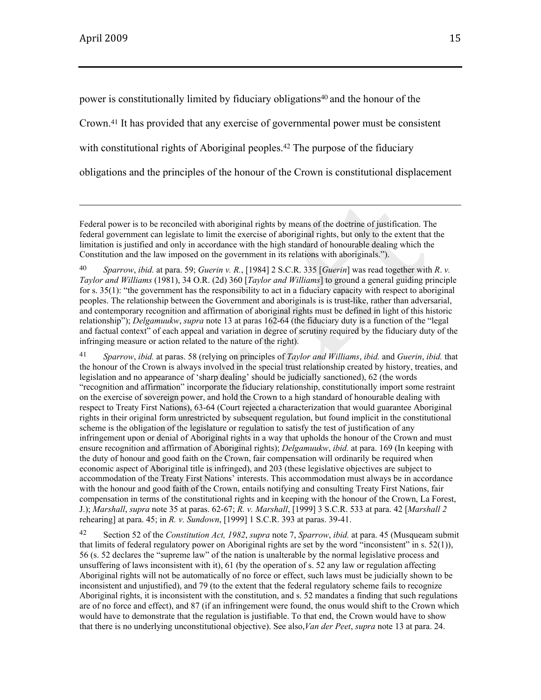power is constitutionally limited by fiduciary obligations<sup>40</sup> and the honour of the Crown.41 It has provided that any exercise of governmental power must be consistent with constitutional rights of Aboriginal peoples.<sup>42</sup> The purpose of the fiduciary obligations and the principles of the honour of the Crown is constitutional displacement

Federal power is to be reconciled with aboriginal rights by means of the doctrine of justification. The federal government can legislate to limit the exercise of aboriginal rights, but only to the extent that the limitation is justified and only in accordance with the high standard of honourable dealing which the Constitution and the law imposed on the government in its relations with aboriginals.").

41 *Sparrow*, *ibid.* at paras. 58 (relying on principles of *Taylor and Williams*, *ibid.* and *Guerin*, *ibid.* that the honour of the Crown is always involved in the special trust relationship created by history, treaties, and legislation and no appearance of 'sharp dealing' should be judicially sanctioned), 62 (the words "recognition and affirmation" incorporate the fiduciary relationship, constitutionally import some restraint on the exercise of sovereign power, and hold the Crown to a high standard of honourable dealing with respect to Treaty First Nations), 63-64 (Court rejected a characterization that would guarantee Aboriginal rights in their original form unrestricted by subsequent regulation, but found implicit in the constitutional scheme is the obligation of the legislature or regulation to satisfy the test of justification of any infringement upon or denial of Aboriginal rights in a way that upholds the honour of the Crown and must ensure recognition and affirmation of Aboriginal rights); *Delgamuukw*, *ibid.* at para. 169 (In keeping with the duty of honour and good faith on the Crown, fair compensation will ordinarily be required when economic aspect of Aboriginal title is infringed), and 203 (these legislative objectives are subject to accommodation of the Treaty First Nations' interests. This accommodation must always be in accordance with the honour and good faith of the Crown, entails notifying and consulting Treaty First Nations, fair compensation in terms of the constitutional rights and in keeping with the honour of the Crown, La Forest, J.); *Marshall*, *supra* note 35 at paras. 62-67; *R. v. Marshall*, [1999] 3 S.C.R. 533 at para. 42 [*Marshall 2* rehearing] at para. 45; in *R. v. Sundown*, [1999] 1 S.C.R. 393 at paras. 39-41.

42 Section 52 of the *Constitution Act, 1982*, *supra* note 7, *Sparrow*, *ibid.* at para. 45 (Musqueam submit that limits of federal regulatory power on Aboriginal rights are set by the word "inconsistent" in s.  $52(1)$ ), 56 (s. 52 declares the "supreme law" of the nation is unalterable by the normal legislative process and unsuffering of laws inconsistent with it), 61 (by the operation of s. 52 any law or regulation affecting Aboriginal rights will not be automatically of no force or effect, such laws must be judicially shown to be inconsistent and unjustified), and 79 (to the extent that the federal regulatory scheme fails to recognize Aboriginal rights, it is inconsistent with the constitution, and s. 52 mandates a finding that such regulations are of no force and effect), and 87 (if an infringement were found, the onus would shift to the Crown which would have to demonstrate that the regulation is justifiable. To that end, the Crown would have to show that there is no underlying unconstitutional objective). See also,*Van der Peet*, *supra* note 13 at para. 24.

<sup>40</sup> *Sparrow*, *ibid.* at para. 59; *Guerin v. R.*, [1984] 2 S.C.R. 335 [*Guerin*] was read together with *R*. *v. Taylor and Williams* (1981), 34 O.R. (2d) 360 [*Taylor and Williams*] to ground a general guiding principle for s. 35(1): "the government has the responsibility to act in a fiduciary capacity with respect to aboriginal peoples. The relationship between the Government and aboriginals is is trust-like, rather than adversarial, and contemporary recognition and affirmation of aboriginal rights must be defined in light of this historic relationship"); *Delgamuukw*, *supra* note 13 at paras 162-64 (the fiduciary duty is a function of the "legal and factual context" of each appeal and variation in degree of scrutiny required by the fiduciary duty of the infringing measure or action related to the nature of the right).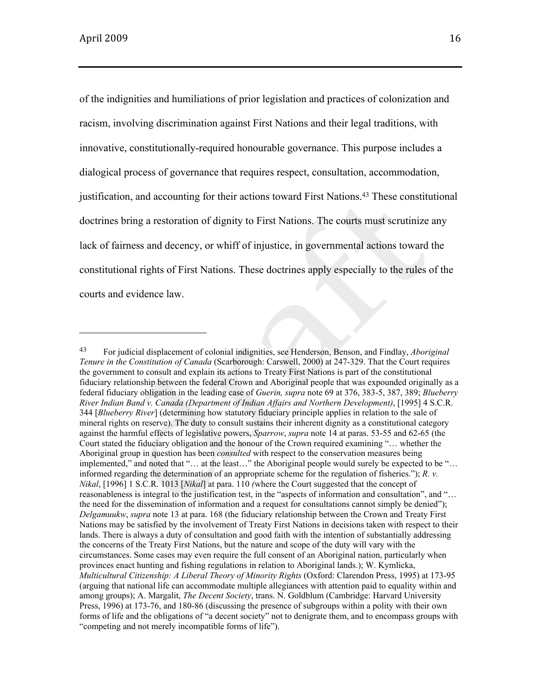of the indignities and humiliations of prior legislation and practices of colonization and racism, involving discrimination against First Nations and their legal traditions, with innovative, constitutionally-required honourable governance. This purpose includes a dialogical process of governance that requires respect, consultation, accommodation, justification, and accounting for their actions toward First Nations.43 These constitutional doctrines bring a restoration of dignity to First Nations. The courts must scrutinize any lack of fairness and decency, or whiff of injustice, in governmental actions toward the constitutional rights of First Nations. These doctrines apply especially to the rules of the courts and evidence law.

<sup>43</sup> For judicial displacement of colonial indignities, see Henderson, Benson, and Findlay, *Aboriginal Tenure in the Constitution of Canada* (Scarborough: Carswell, 2000) at 247-329. That the Court requires the government to consult and explain its actions to Treaty First Nations is part of the constitutional fiduciary relationship between the federal Crown and Aboriginal people that was expounded originally as a federal fiduciary obligation in the leading case of *Guerin, supra* note 69 at 376, 383-5, 387, 389; *Blueberry River Indian Band v. Canada (Department of Indian Affairs and Northern Development)*, [1995] 4 S.C.R. 344 [*Blueberry River*] (determining how statutory fiduciary principle applies in relation to the sale of mineral rights on reserve). The duty to consult sustains their inherent dignity as a constitutional category against the harmful effects of legislative powers, *Sparrow*, *supra* note 14 at paras. 53-55 and 62-65 (the Court stated the fiduciary obligation and the honour of the Crown required examining "… whether the Aboriginal group in question has been *consulted* with respect to the conservation measures being implemented," and noted that "… at the least…" the Aboriginal people would surely be expected to be "… informed regarding the determination of an appropriate scheme for the regulation of fisheries."); *R. v. Nikal*, [1996] 1 S.C.R. 1013 [*Nikal*] at para. 110 *(*where the Court suggested that the concept of reasonableness is integral to the justification test, in the "aspects of information and consultation", and "… the need for the dissemination of information and a request for consultations cannot simply be denied"); *Delgamuukw*, *supra* note 13 at para. 168 (the fiduciary relationship between the Crown and Treaty First Nations may be satisfied by the involvement of Treaty First Nations in decisions taken with respect to their lands. There is always a duty of consultation and good faith with the intention of substantially addressing the concerns of the Treaty First Nations, but the nature and scope of the duty will vary with the circumstances. Some cases may even require the full consent of an Aboriginal nation, particularly when provinces enact hunting and fishing regulations in relation to Aboriginal lands.); W. Kymlicka, *Multicultural Citizenship: A Liberal Theory of Minority Rights* (Oxford: Clarendon Press, 1995) at 173-95 (arguing that national life can accommodate multiple allegiances with attention paid to equality within and among groups); A. Margalit, *The Decent Society*, trans. N. Goldblum (Cambridge: Harvard University Press, 1996) at 173-76, and 180-86 (discussing the presence of subgroups within a polity with their own forms of life and the obligations of "a decent society" not to denigrate them, and to encompass groups with "competing and not merely incompatible forms of life").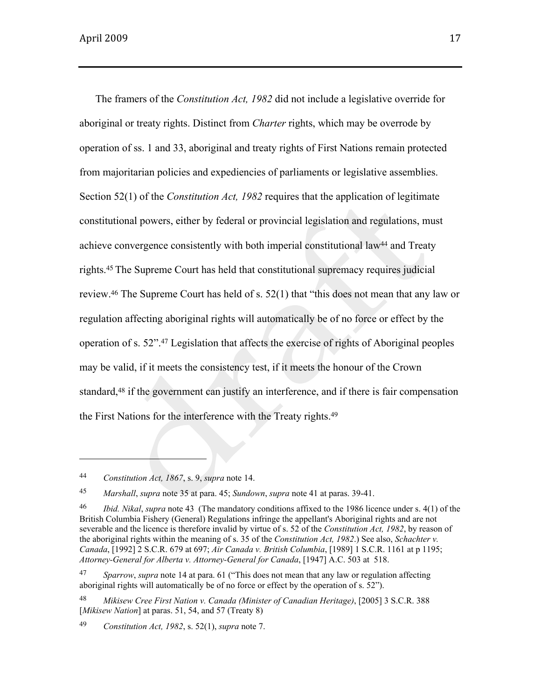The framers of the *Constitution Act, 1982* did not include a legislative override for aboriginal or treaty rights. Distinct from *Charter* rights, which may be overrode by operation of ss. 1 and 33, aboriginal and treaty rights of First Nations remain protected from majoritarian policies and expediencies of parliaments or legislative assemblies. Section 52(1) of the *Constitution Act, 1982* requires that the application of legitimate constitutional powers, either by federal or provincial legislation and regulations, must achieve convergence consistently with both imperial constitutional law44 and Treaty rights.<sup>45</sup> The Supreme Court has held that constitutional supremacy requires judicial review.46 The Supreme Court has held of s. 52(1) that "this does not mean that any law or regulation affecting aboriginal rights will automatically be of no force or effect by the operation of s. 52".47 Legislation that affects the exercise of rights of Aboriginal peoples may be valid, if it meets the consistency test, if it meets the honour of the Crown standard,<sup>48</sup> if the government can justify an interference, and if there is fair compensation the First Nations for the interference with the Treaty rights.<sup>49</sup>

<sup>44</sup> *Constitution Act, 1867*, s. 9, *supra* note 14.

<sup>45</sup> *Marshall*, *supra* note 35 at para. 45; *Sundown*, *supra* note 41 at paras. 39-41.

<sup>46</sup> *Ibid. Nikal*, *supra* note 43 (The mandatory conditions affixed to the 1986 licence under s. 4(1) of the British Columbia Fishery (General) Regulations infringe the appellant's Aboriginal rights and are not severable and the licence is therefore invalid by virtue of s. 52 of the *Constitution Act, 1982*, by reason of the aboriginal rights within the meaning of s. 35 of the *Constitution Act, 1982*.) See also, *Schachter v. Canada*, [1992] 2 S.C.R. 679 at 697; *Air Canada v. British Columbia*, [1989] 1 S.C.R. 1161 at p 1195; *Attorney-General for Alberta v. Attorney-General for Canada*, [1947] A.C. 503 at 518.

<sup>47</sup> *Sparrow*, *supra* note 14 at para. 61 ("This does not mean that any law or regulation affecting aboriginal rights will automatically be of no force or effect by the operation of s. 52").

<sup>48</sup> *Mikisew Cree First Nation v. Canada (Minister of Canadian Heritage)*, [2005] 3 S.C.R. 388 [*Mikisew Nation*] at paras. 51, 54, and 57 (Treaty 8)

<sup>49</sup> *Constitution Act, 1982*, s. 52(1), *supra* note 7.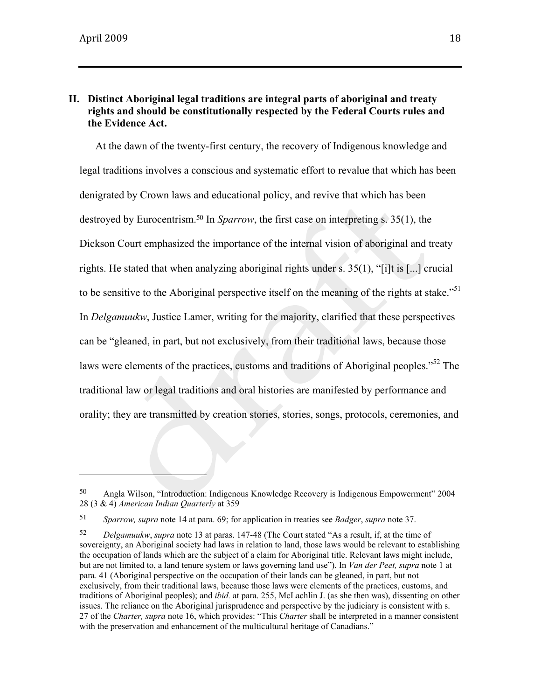### **II. Distinct Aboriginal legal traditions are integral parts of aboriginal and treaty rights and should be constitutionally respected by the Federal Courts rules and the Evidence Act.**

At the dawn of the twenty-first century, the recovery of Indigenous knowledge and legal traditions involves a conscious and systematic effort to revalue that which has been denigrated by Crown laws and educational policy, and revive that which has been destroyed by Eurocentrism.50 In *Sparrow*, the first case on interpreting s. 35(1), the Dickson Court emphasized the importance of the internal vision of aboriginal and treaty rights. He stated that when analyzing aboriginal rights under s. 35(1), "[i]t is [...] crucial to be sensitive to the Aboriginal perspective itself on the meaning of the rights at stake.<sup>"51</sup> In *Delgamuukw*, Justice Lamer, writing for the majority, clarified that these perspectives can be "gleaned, in part, but not exclusively, from their traditional laws, because those laws were elements of the practices, customs and traditions of Aboriginal peoples.<sup>552</sup> The traditional law or legal traditions and oral histories are manifested by performance and orality; they are transmitted by creation stories, stories, songs, protocols, ceremonies, and

<sup>50</sup> Angla Wilson, "Introduction: Indigenous Knowledge Recovery is Indigenous Empowerment" 2004 28 (3 & 4) *American Indian Quarterly* at 359

<sup>51</sup> *Sparrow, supra* note 14 at para. 69; for application in treaties see *Badger*, *supra* note 37.

<sup>52</sup> *Delgamuukw*, *supra* note 13 at paras. 147-48 (The Court stated "As a result, if, at the time of sovereignty, an Aboriginal society had laws in relation to land, those laws would be relevant to establishing the occupation of lands which are the subject of a claim for Aboriginal title. Relevant laws might include, but are not limited to, a land tenure system or laws governing land use"). In *Van der Peet, supra* note 1 at para. 41 (Aboriginal perspective on the occupation of their lands can be gleaned, in part, but not exclusively, from their traditional laws, because those laws were elements of the practices, customs, and traditions of Aboriginal peoples); and *ibid.* at para. 255, McLachlin J. (as she then was), dissenting on other issues. The reliance on the Aboriginal jurisprudence and perspective by the judiciary is consistent with s. 27 of the *Charter, supra* note 16, which provides: "This *Charter* shall be interpreted in a manner consistent with the preservation and enhancement of the multicultural heritage of Canadians."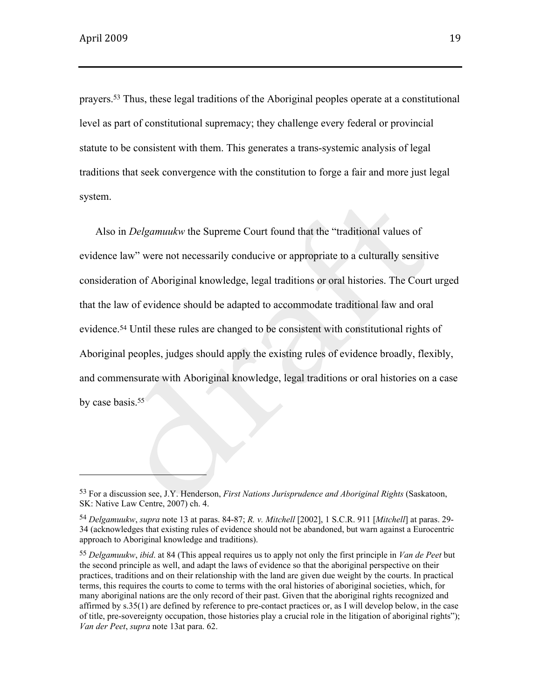prayers.<sup>53</sup> Thus, these legal traditions of the Aboriginal peoples operate at a constitutional level as part of constitutional supremacy; they challenge every federal or provincial statute to be consistent with them. This generates a trans-systemic analysis of legal traditions that seek convergence with the constitution to forge a fair and more just legal system.

Also in *Delgamuukw* the Supreme Court found that the "traditional values of evidence law" were not necessarily conducive or appropriate to a culturally sensitive consideration of Aboriginal knowledge, legal traditions or oral histories. The Court urged that the law of evidence should be adapted to accommodate traditional law and oral evidence.54 Until these rules are changed to be consistent with constitutional rights of Aboriginal peoples, judges should apply the existing rules of evidence broadly, flexibly, and commensurate with Aboriginal knowledge, legal traditions or oral histories on a case by case basis.<sup>55</sup>

<sup>53</sup> For a discussion see, J.Y. Henderson, *First Nations Jurisprudence and Aboriginal Rights* (Saskatoon, SK: Native Law Centre, 2007) ch. 4.

<sup>54</sup> *Delgamuukw*, *supra* note 13 at paras. 84-87; *R. v. Mitchell* [2002], 1 S.C.R. 911 [*Mitchell*] at paras. 29- 34 (acknowledges that existing rules of evidence should not be abandoned, but warn against a Eurocentric approach to Aboriginal knowledge and traditions).

<sup>55</sup> *Delgamuukw*, *ibid*. at 84 (This appeal requires us to apply not only the first principle in *Van de Peet* but the second principle as well, and adapt the laws of evidence so that the aboriginal perspective on their practices, traditions and on their relationship with the land are given due weight by the courts. In practical terms, this requires the courts to come to terms with the oral histories of aboriginal societies, which, for many aboriginal nations are the only record of their past. Given that the aboriginal rights recognized and affirmed by s.35(1) are defined by reference to pre-contact practices or, as I will develop below, in the case of title, pre-sovereignty occupation, those histories play a crucial role in the litigation of aboriginal rights"); *Van der Peet*, *supra* note 13at para. 62.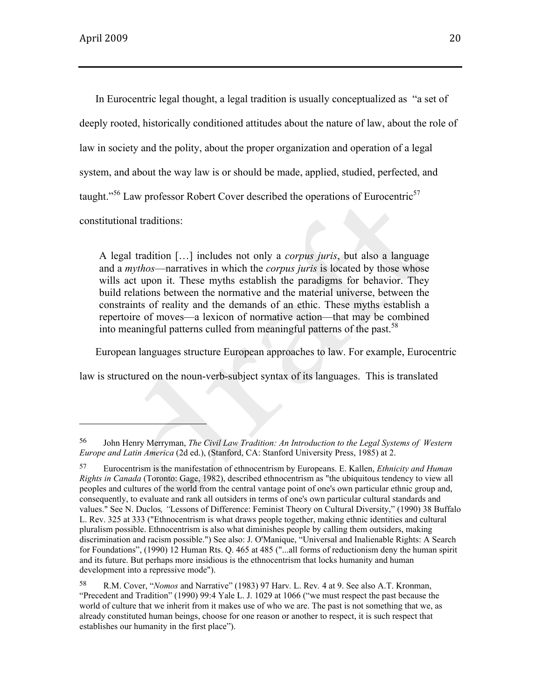In Eurocentric legal thought, a legal tradition is usually conceptualized as "a set of deeply rooted, historically conditioned attitudes about the nature of law, about the role of law in society and the polity, about the proper organization and operation of a legal system, and about the way law is or should be made, applied, studied, perfected, and taught."<sup>56</sup> Law professor Robert Cover described the operations of Eurocentric<sup>57</sup> constitutional traditions:

A legal tradition […] includes not only a *corpus juris*, but also a language and a *mythos*—narratives in which the *corpus juris* is located by those whose wills act upon it. These myths establish the paradigms for behavior. They build relations between the normative and the material universe, between the constraints of reality and the demands of an ethic. These myths establish a repertoire of moves—a lexicon of normative action—that may be combined into meaningful patterns culled from meaningful patterns of the past.<sup>58</sup>

European languages structure European approaches to law. For example, Eurocentric

law is structured on the noun-verb-subject syntax of its languages. This is translated

<sup>56</sup> John Henry Merryman, *The Civil Law Tradition: An Introduction to the Legal Systems of Western Europe and Latin America* (2d ed.), (Stanford, CA: Stanford University Press, 1985) at 2.

<sup>57</sup> Eurocentrism is the manifestation of ethnocentrism by Europeans. E. Kallen, *Ethnicity and Human Rights in Canada* (Toronto: Gage, 1982), described ethnocentrism as "the ubiquitous tendency to view all peoples and cultures of the world from the central vantage point of one's own particular ethnic group and, consequently, to evaluate and rank all outsiders in terms of one's own particular cultural standards and values." See N. Duclos*, "*Lessons of Difference: Feminist Theory on Cultural Diversity," (1990) 38 Buffalo L. Rev. 325 at 333 ("Ethnocentrism is what draws people together, making ethnic identities and cultural pluralism possible. Ethnocentrism is also what diminishes people by calling them outsiders, making discrimination and racism possible.") See also: J. O'Manique, "Universal and Inalienable Rights: A Search for Foundations", (1990) 12 Human Rts. Q. 465 at 485 ("...all forms of reductionism deny the human spirit and its future. But perhaps more insidious is the ethnocentrism that locks humanity and human development into a repressive mode").

<sup>58</sup> R.M. Cover, "*Nomos* and Narrative" (1983) 97 Harv*.* L. Rev*.* 4 at 9. See also A.T. Kronman, "Precedent and Tradition" (1990) 99:4 Yale L. J. 1029 at 1066 ("we must respect the past because the world of culture that we inherit from it makes use of who we are. The past is not something that we, as already constituted human beings, choose for one reason or another to respect, it is such respect that establishes our humanity in the first place").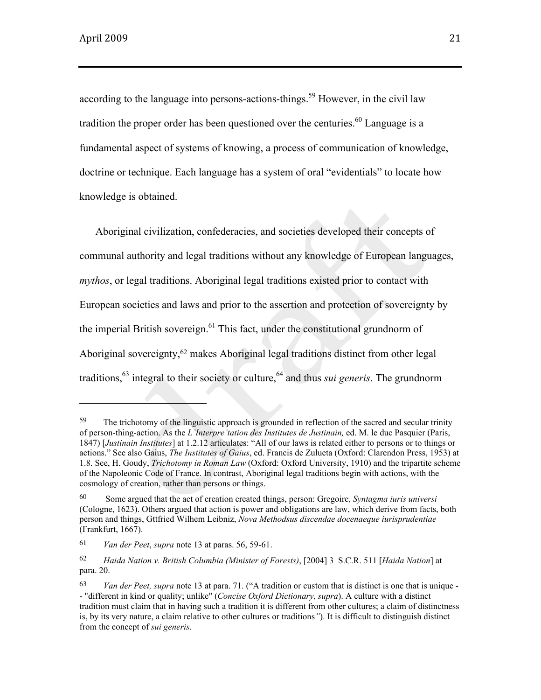according to the language into persons-actions-things.<sup>59</sup> However, in the civil law tradition the proper order has been questioned over the centuries.<sup>60</sup> Language is a fundamental aspect of systems of knowing, a process of communication of knowledge, doctrine or technique. Each language has a system of oral "evidentials" to locate how knowledge is obtained.

Aboriginal civilization, confederacies, and societies developed their concepts of communal authority and legal traditions without any knowledge of European languages, *mythos*, or legal traditions. Aboriginal legal traditions existed prior to contact with European societies and laws and prior to the assertion and protection of sovereignty by the imperial British sovereign. $61$  This fact, under the constitutional grundnorm of Aboriginal sovereignty,<sup>62</sup> makes Aboriginal legal traditions distinct from other legal traditions,<sup>63</sup> integral to their society or culture,<sup>64</sup> and thus *sui generis*. The grundnorm

<sup>&</sup>lt;sup>59</sup> The trichotomy of the linguistic approach is grounded in reflection of the sacred and secular trinity of person-thing-action. As the *L'Interpre'tation des Institutes de Justinain,* ed. M. le duc Pasquier (Paris, 1847) [*Justinain Institutes*] at 1.2.12 articulates: "All of our laws is related either to persons or to things or actions." See also Gaius, *The Institutes of Gaius*, ed. Francis de Zulueta (Oxford: Clarendon Press, 1953) at 1.8. See, H. Goudy, *Trichotomy in Roman Law* (Oxford: Oxford University, 1910) and the tripartite scheme of the Napoleonic Code of France. In contrast, Aboriginal legal traditions begin with actions, with the cosmology of creation, rather than persons or things.

<sup>60</sup> Some argued that the act of creation created things, person: Gregoire, *Syntagma iuris universi* (Cologne, 1623). Others argued that action is power and obligations are law, which derive from facts, both person and things, Gttfried Wilhem Leibniz, *Nova Methodsus discendae docenaeque iurisprudentiae* (Frankfurt, 1667).

<sup>61</sup> *Van der Peet*, *supra* note 13 at paras. 56, 59-61.

<sup>62</sup> *Haida Nation v. British Columbia (Minister of Forests)*, [2004] 3 S.C.R. 511 [*Haida Nation*] at para. 20.

<sup>63</sup> *Van der Peet, supra* note 13 at para. 71. ("A tradition or custom that is distinct is one that is unique - - "different in kind or quality; unlike" (*Concise Oxford Dictionary*, *supra*). A culture with a distinct tradition must claim that in having such a tradition it is different from other cultures; a claim of distinctness is, by its very nature, a claim relative to other cultures or traditions*"*). It is difficult to distinguish distinct from the concept of *sui generis*.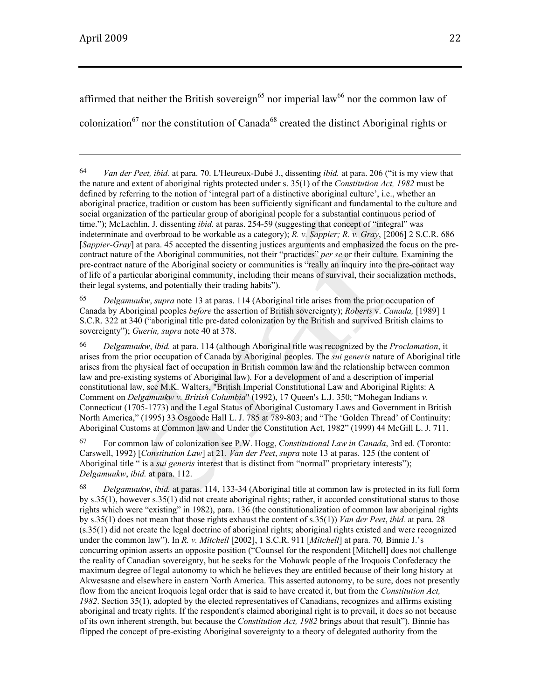affirmed that neither the British sovereign<sup>65</sup> nor imperial law<sup>66</sup> nor the common law of colonization<sup>67</sup> nor the constitution of Canada<sup>68</sup> created the distinct Aboriginal rights or

<u> 1989 - Andrea Santa Andrea Andrea Andrea Andrea Andrea Andrea Andrea Andrea Andrea Andrea Andrea Andrea Andr</u>

65 *Delgamuukw*, *supra* note 13 at paras. 114 (Aboriginal title arises from the prior occupation of Canada by Aboriginal peoples *before* the assertion of British sovereignty); *Roberts* v. *Canada,* [1989] 1 S.C.R. 322 at 340 ("aboriginal title pre-dated colonization by the British and survived British claims to sovereignty"); *Guerin, supra* note 40 at 378.

66 *Delgamuukw*, *ibid.* at para. 114 (although Aboriginal title was recognized by the *Proclamation*, it arises from the prior occupation of Canada by Aboriginal peoples. The *sui generis* nature of Aboriginal title arises from the physical fact of occupation in British common law and the relationship between common law and pre-existing systems of Aboriginal law). For a development of and a description of imperial constitutional law, see M.K. Walters, "British Imperial Constitutional Law and Aboriginal Rights: A Comment on *Delgamuukw v. British Columbia*" (1992), 17 Queen's L.J. 350; "Mohegan Indians *v.* Connecticut (1705-1773) and the Legal Status of Aboriginal Customary Laws and Government in British North America," (1995) 33 Osgoode Hall L. J. 785 at 789-803; and "The 'Golden Thread' of Continuity: Aboriginal Customs at Common law and Under the Constitution Act, 1982" (1999) 44 McGill L. J. 711.

67 For common law of colonization see P.W. Hogg, *Constitutional Law in Canada*, 3rd ed. (Toronto: Carswell, 1992) [*Constitution Law*] at 21. *Van der Peet*, *supra* note 13 at paras. 125 (the content of Aboriginal title " is a *sui generis* interest that is distinct from "normal" proprietary interests"); *Delgamuukw*, *ibid.* at para. 112.

68 *Delgamuukw*, *ibid.* at paras. 114, 133-34 (Aboriginal title at common law is protected in its full form by s.35(1), however s.35(1) did not create aboriginal rights; rather, it accorded constitutional status to those rights which were "existing" in 1982), para. 136 (the constitutionalization of common law aboriginal rights by s.35(1) does not mean that those rights exhaust the content of s.35(1)) *Van der Peet*, *ibid.* at para. 28 (s.35(1) did not create the legal doctrine of aboriginal rights; aboriginal rights existed and were recognized under the common law"). In *R. v. Mitchell* [2002], 1 S.C.R. 911 [*Mitchell*] at para. 70*,* Binnie J.'s concurring opinion asserts an opposite position ("Counsel for the respondent [Mitchell] does not challenge the reality of Canadian sovereignty, but he seeks for the Mohawk people of the Iroquois Confederacy the maximum degree of legal autonomy to which he believes they are entitled because of their long history at Akwesasne and elsewhere in eastern North America. This asserted autonomy, to be sure, does not presently flow from the ancient Iroquois legal order that is said to have created it, but from the *Constitution Act, 1982*. Section 35(1), adopted by the elected representatives of Canadians, recognizes and affirms existing aboriginal and treaty rights. If the respondent's claimed aboriginal right is to prevail, it does so not because of its own inherent strength, but because the *Constitution Act, 1982* brings about that result"). Binnie has flipped the concept of pre-existing Aboriginal sovereignty to a theory of delegated authority from the

<sup>64</sup> *Van der Peet, ibid.* at para. 70. L'Heureux-Dubé J., dissenting *ibid.* at para. 206 ("it is my view that the nature and extent of aboriginal rights protected under s. 35(1) of the *Constitution Act, 1982* must be defined by referring to the notion of 'integral part of a distinctive aboriginal culture', i.e., whether an aboriginal practice, tradition or custom has been sufficiently significant and fundamental to the culture and social organization of the particular group of aboriginal people for a substantial continuous period of time."); McLachlin, J. dissenting *ibid.* at paras. 254-59 (suggesting that concept of "integral" was indeterminate and overbroad to be workable as a category); *R. v. Sappier; R. v. Gray*, [2006] 2 S.C.R. 686 [*Sappier-Gray*] at para. 45 accepted the dissenting justices arguments and emphasized the focus on the precontract nature of the Aboriginal communities, not their "practices" *per se* or their culture. Examining the pre-contract nature of the Aboriginal society or communities is "really an inquiry into the pre-contact way of life of a particular aboriginal community, including their means of survival, their socialization methods, their legal systems, and potentially their trading habits").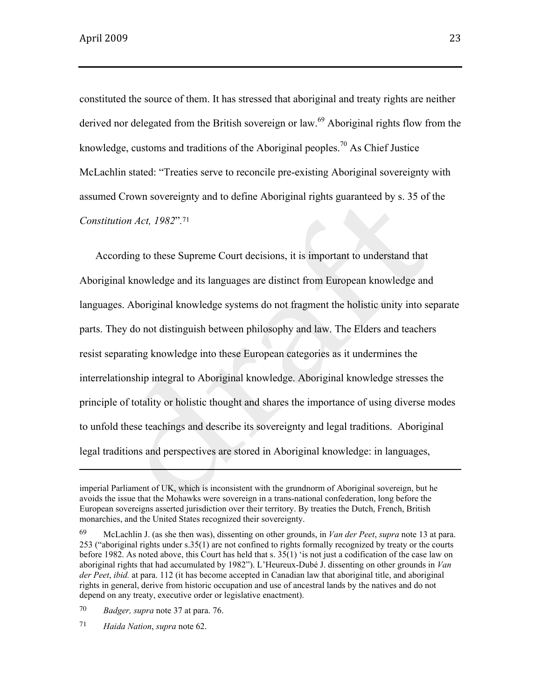constituted the source of them. It has stressed that aboriginal and treaty rights are neither derived nor delegated from the British sovereign or law.<sup>69</sup> Aboriginal rights flow from the knowledge, customs and traditions of the Aboriginal peoples.<sup>70</sup> As Chief Justice McLachlin stated: "Treaties serve to reconcile pre-existing Aboriginal sovereignty with assumed Crown sovereignty and to define Aboriginal rights guaranteed by s. 35 of the *Constitution Act, 1982*"*.*<sup>71</sup>

According to these Supreme Court decisions, it is important to understand that Aboriginal knowledge and its languages are distinct from European knowledge and languages. Aboriginal knowledge systems do not fragment the holistic unity into separate parts. They do not distinguish between philosophy and law. The Elders and teachers resist separating knowledge into these European categories as it undermines the interrelationship integral to Aboriginal knowledge. Aboriginal knowledge stresses the principle of totality or holistic thought and shares the importance of using diverse modes to unfold these teachings and describe its sovereignty and legal traditions. Aboriginal legal traditions and perspectives are stored in Aboriginal knowledge: in languages,

70 *Badger, supra* note 37 at para. 76.

71 *Haida Nation*, *supra* note 62.

imperial Parliament of UK, which is inconsistent with the grundnorm of Aboriginal sovereign, but he avoids the issue that the Mohawks were sovereign in a trans-national confederation, long before the European sovereigns asserted jurisdiction over their territory. By treaties the Dutch, French, British monarchies, and the United States recognized their sovereignty.

<sup>69</sup> McLachlin J. (as she then was), dissenting on other grounds, in *Van der Peet*, *supra* note 13 at para. 253 ("aboriginal rights under s.35(1) are not confined to rights formally recognized by treaty or the courts before 1982. As noted above, this Court has held that s. 35(1) 'is not just a codification of the case law on aboriginal rights that had accumulated by 1982"). L'Heureux-Dubé J. dissenting on other grounds in *Van der Peet*, *ibid.* at para. 112 (it has become accepted in Canadian law that aboriginal title, and aboriginal rights in general, derive from historic occupation and use of ancestral lands by the natives and do not depend on any treaty, executive order or legislative enactment).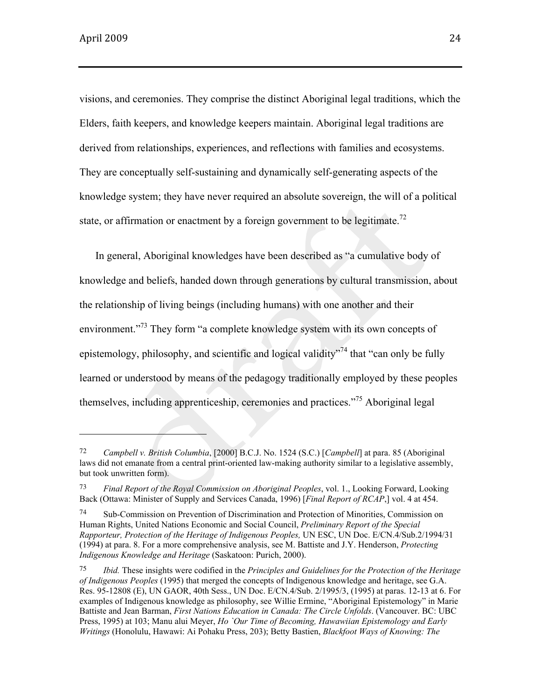$\overline{\phantom{a}}$  and  $\overline{\phantom{a}}$  and  $\overline{\phantom{a}}$  and  $\overline{\phantom{a}}$  and  $\overline{\phantom{a}}$  and  $\overline{\phantom{a}}$  and  $\overline{\phantom{a}}$  and  $\overline{\phantom{a}}$  and  $\overline{\phantom{a}}$  and  $\overline{\phantom{a}}$  and  $\overline{\phantom{a}}$  and  $\overline{\phantom{a}}$  and  $\overline{\phantom{a}}$  and  $\overline{\phantom{a}}$  a

visions, and ceremonies. They comprise the distinct Aboriginal legal traditions, which the Elders, faith keepers, and knowledge keepers maintain. Aboriginal legal traditions are derived from relationships, experiences, and reflections with families and ecosystems. They are conceptually self-sustaining and dynamically self-generating aspects of the knowledge system; they have never required an absolute sovereign, the will of a political state, or affirmation or enactment by a foreign government to be legitimate.<sup>72</sup>

In general, Aboriginal knowledges have been described as "a cumulative body of knowledge and beliefs, handed down through generations by cultural transmission, about the relationship of living beings (including humans) with one another and their environment."<sup>73</sup> They form "a complete knowledge system with its own concepts of epistemology, philosophy, and scientific and logical validity<sup> $n^{74}$ </sup> that "can only be fully learned or understood by means of the pedagogy traditionally employed by these peoples themselves, including apprenticeship, ceremonies and practices."75 Aboriginal legal

<sup>72</sup> *Campbell v. British Columbia*, [2000] B.C.J. No. 1524 (S.C.) [*Campbell*] at para. 85 (Aboriginal laws did not emanate from a central print-oriented law-making authority similar to a legislative assembly, but took unwritten form).

<sup>73</sup> *Final Report of the Royal Commission on Aboriginal Peoples*, vol. 1., Looking Forward, Looking Back (Ottawa: Minister of Supply and Services Canada, 1996) [*Final Report of RCAP*,] vol. 4 at 454.

<sup>74</sup> Sub-Commission on Prevention of Discrimination and Protection of Minorities, Commission on Human Rights, United Nations Economic and Social Council, *Preliminary Report of the Special Rapporteur, Protection of the Heritage of Indigenous Peoples,* UN ESC, UN Doc. E/CN.4/Sub.2/1994/31 (1994) at para. 8. For a more comprehensive analysis, see M. Battiste and J.Y. Henderson, *Protecting Indigenous Knowledge and Heritage* (Saskatoon: Purich, 2000).

<sup>75</sup> *Ibid.* These insights were codified in the *Principles and Guidelines for the Protection of the Heritage of Indigenous Peoples* (1995) that merged the concepts of Indigenous knowledge and heritage, see G.A. Res. 95-12808 (E), UN GAOR, 40th Sess., UN Doc. E/CN.4/Sub. 2/1995/3, (1995) at paras. 12-13 at 6. For examples of Indigenous knowledge as philosophy, see Willie Ermine, "Aboriginal Epistemology" in Marie Battiste and Jean Barman, *First Nations Education in Canada: The Circle Unfolds*. (Vancouver. BC: UBC Press, 1995) at 103; Manu alui Meyer, *Ho `Our Time of Becoming, Hawawiian Epistemology and Early Writings* (Honolulu, Hawawi: Ai Pohaku Press, 203); Betty Bastien, *Blackfoot Ways of Knowing: The*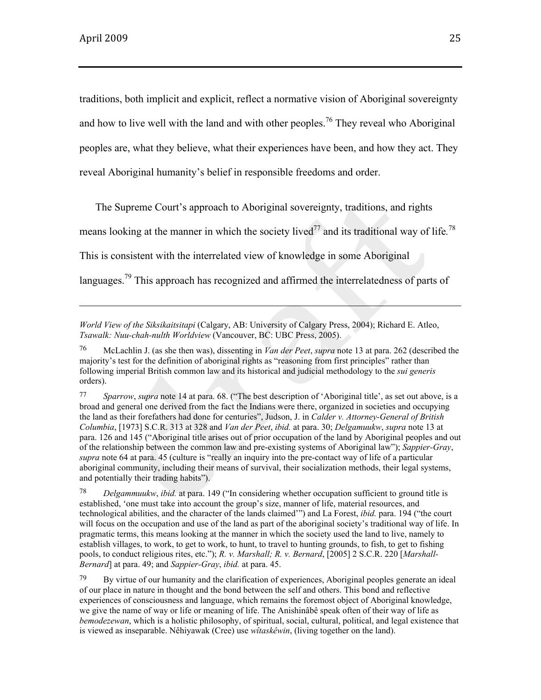traditions, both implicit and explicit, reflect a normative vision of Aboriginal sovereignty and how to live well with the land and with other peoples.<sup>76</sup> They reveal who Aboriginal peoples are, what they believe, what their experiences have been, and how they act. They reveal Aboriginal humanity's belief in responsible freedoms and order.

The Supreme Court's approach to Aboriginal sovereignty, traditions, and rights

means looking at the manner in which the society lived<sup> $77$ </sup> and its traditional way of life.<sup>78</sup>

This is consistent with the interrelated view of knowledge in some Aboriginal

languages.<sup>79</sup> This approach has recognized and affirmed the interrelatedness of parts of

*World View of the Siksikaitsitapi* (Calgary, AB: University of Calgary Press, 2004); Richard E. Atleo, *Tsawalk: Nuu-chah-nulth Worldview* (Vancouver, BC: UBC Press, 2005).

<sup>76</sup> McLachlin J. (as she then was), dissenting in *Van der Peet*, *supra* note 13 at para. 262 (described the majority's test for the definition of aboriginal rights as "reasoning from first principles" rather than following imperial British common law and its historical and judicial methodology to the *sui generis*  orders).

<sup>77</sup> *Sparrow*, *supra* note 14 at para. 68. ("The best description of 'Aboriginal title', as set out above, is a broad and general one derived from the fact the Indians were there, organized in societies and occupying the land as their forefathers had done for centuries", Judson, J. in *Calder v. Attorney-General of British Columbia*, [1973] S.C.R. 313 at 328 and *Van der Peet*, *ibid.* at para. 30; *Delgamuukw*, *supra* note 13 at para. 126 and 145 ("Aboriginal title arises out of prior occupation of the land by Aboriginal peoples and out of the relationship between the common law and pre-existing systems of Aboriginal law"); *Sappier-Gray*, *supra* note 64 at para. 45 (culture is "really an inquiry into the pre-contact way of life of a particular aboriginal community, including their means of survival, their socialization methods, their legal systems, and potentially their trading habits").

<sup>78</sup> *Delgammuukw*, *ibid.* at para. 149 ("In considering whether occupation sufficient to ground title is established, 'one must take into account the group's size, manner of life, material resources, and technological abilities, and the character of the lands claimed'") and La Forest, *ibid.* para. 194 ("the court will focus on the occupation and use of the land as part of the aboriginal society's traditional way of life. In pragmatic terms, this means looking at the manner in which the society used the land to live, namely to establish villages, to work, to get to work, to hunt, to travel to hunting grounds, to fish, to get to fishing pools, to conduct religious rites, etc."); *R. v. Marshall; R. v. Bernard*, [2005] 2 S.C.R. 220 [*Marshall-Bernard*] at para. 49; and *Sappier-Gray*, *ibid.* at para. 45.

 $79$  By virtue of our humanity and the clarification of experiences, Aboriginal peoples generate an ideal of our place in nature in thought and the bond between the self and others. This bond and reflective experiences of consciousness and language, which remains the foremost object of Aboriginal knowledge, we give the name of way or life or meaning of life. The Anishinâbê speak often of their way of life as *bemodezewan*, which is a holistic philosophy, of spiritual, social, cultural, political, and legal existence that is viewed as inseparable. Nêhiyawak (Cree) use *wîtaskêwin*, (living together on the land).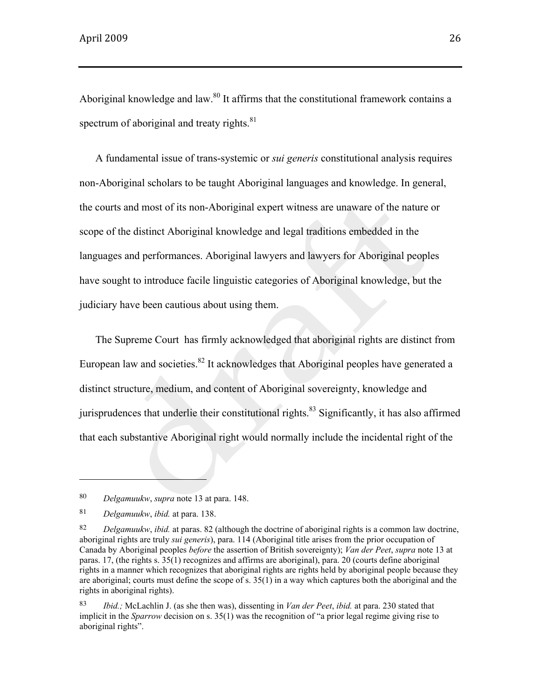Aboriginal knowledge and law. $80$  It affirms that the constitutional framework contains a spectrum of aboriginal and treaty rights. $81$ 

A fundamental issue of trans-systemic or *sui generis* constitutional analysis requires non-Aboriginal scholars to be taught Aboriginal languages and knowledge. In general, the courts and most of its non-Aboriginal expert witness are unaware of the nature or scope of the distinct Aboriginal knowledge and legal traditions embedded in the languages and performances. Aboriginal lawyers and lawyers for Aboriginal peoples have sought to introduce facile linguistic categories of Aboriginal knowledge, but the judiciary have been cautious about using them.

The Supreme Court has firmly acknowledged that aboriginal rights are distinct from European law and societies. $82$  It acknowledges that Aboriginal peoples have generated a distinct structure, medium, and content of Aboriginal sovereignty, knowledge and jurisprudences that underlie their constitutional rights.<sup>83</sup> Significantly, it has also affirmed that each substantive Aboriginal right would normally include the incidental right of the

<sup>80</sup> *Delgamuukw*, *supra* note 13 at para. 148.

<sup>81</sup> *Delgamuukw*, *ibid.* at para. 138.

<sup>82</sup> *Delgamuukw*, *ibid.* at paras. 82 (although the doctrine of aboriginal rights is a common law doctrine, aboriginal rights are truly *sui generis*), para. 114 (Aboriginal title arises from the prior occupation of Canada by Aboriginal peoples *before* the assertion of British sovereignty); *Van der Peet*, *supra* note 13 at paras. 17, (the rights s. 35(1) recognizes and affirms are aboriginal), para. 20 (courts define aboriginal rights in a manner which recognizes that aboriginal rights are rights held by aboriginal people because they are aboriginal; courts must define the scope of s. 35(1) in a way which captures both the aboriginal and the rights in aboriginal rights).

<sup>83</sup> *Ibid.;* McLachlin J. (as she then was), dissenting in *Van der Peet*, *ibid.* at para. 230 stated that implicit in the *Sparrow* decision on s. 35(1) was the recognition of "a prior legal regime giving rise to aboriginal rights".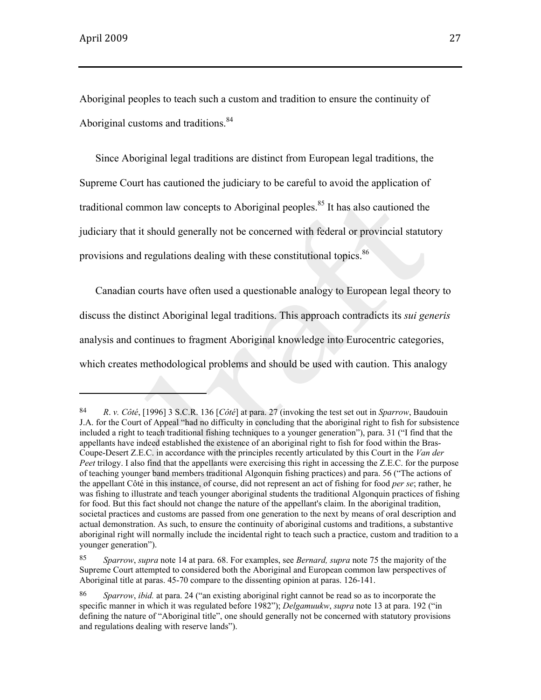$\overline{\phantom{a}}$  . The contract of  $\overline{\phantom{a}}$  and  $\overline{\phantom{a}}$  and  $\overline{\phantom{a}}$  and  $\overline{\phantom{a}}$  and  $\overline{\phantom{a}}$  and  $\overline{\phantom{a}}$  and  $\overline{\phantom{a}}$  and  $\overline{\phantom{a}}$  and  $\overline{\phantom{a}}$  and  $\overline{\phantom{a}}$  and  $\overline{\phantom{a}}$  and  $\overline{\phantom{a}}$  and

Aboriginal peoples to teach such a custom and tradition to ensure the continuity of Aboriginal customs and traditions.<sup>84</sup>

Since Aboriginal legal traditions are distinct from European legal traditions, the Supreme Court has cautioned the judiciary to be careful to avoid the application of traditional common law concepts to Aboriginal peoples.<sup>85</sup> It has also cautioned the judiciary that it should generally not be concerned with federal or provincial statutory provisions and regulations dealing with these constitutional topics.<sup>86</sup>

Canadian courts have often used a questionable analogy to European legal theory to discuss the distinct Aboriginal legal traditions. This approach contradicts its *sui generis*  analysis and continues to fragment Aboriginal knowledge into Eurocentric categories, which creates methodological problems and should be used with caution. This analogy

<sup>84</sup> *R*. *v. Côté*, [1996] 3 S.C.R. 136 [*Côté*] at para. 27 (invoking the test set out in *Sparrow*, Baudouin J.A. for the Court of Appeal "had no difficulty in concluding that the aboriginal right to fish for subsistence included a right to teach traditional fishing techniques to a younger generation"), para. 31 ("I find that the appellants have indeed established the existence of an aboriginal right to fish for food within the Bras-Coupe-Desert Z.E.C. in accordance with the principles recently articulated by this Court in the *Van der Peet* trilogy. I also find that the appellants were exercising this right in accessing the Z.E.C. for the purpose of teaching younger band members traditional Algonquin fishing practices) and para. 56 ("The actions of the appellant Côté in this instance, of course, did not represent an act of fishing for food *per se*; rather, he was fishing to illustrate and teach younger aboriginal students the traditional Algonquin practices of fishing for food. But this fact should not change the nature of the appellant's claim. In the aboriginal tradition, societal practices and customs are passed from one generation to the next by means of oral description and actual demonstration. As such, to ensure the continuity of aboriginal customs and traditions, a substantive aboriginal right will normally include the incidental right to teach such a practice, custom and tradition to a younger generation").

<sup>85</sup> *Sparrow*, *supra* note 14 at para. 68. For examples, see *Bernard, supra* note 75 the majority of the Supreme Court attempted to considered both the Aboriginal and European common law perspectives of Aboriginal title at paras. 45-70 compare to the dissenting opinion at paras. 126-141.

<sup>86</sup> *Sparrow*, *ibid.* at para. 24 ("an existing aboriginal right cannot be read so as to incorporate the specific manner in which it was regulated before 1982"); *Delgamuukw*, *supra* note 13 at para. 192 ("in defining the nature of "Aboriginal title", one should generally not be concerned with statutory provisions and regulations dealing with reserve lands").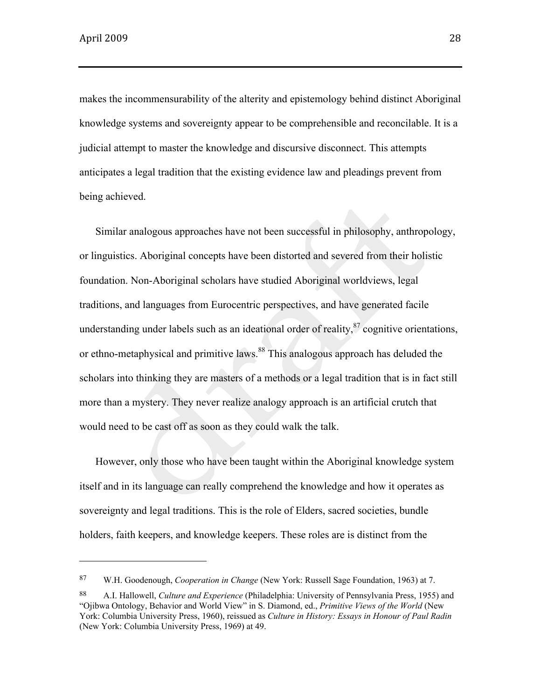makes the incommensurability of the alterity and epistemology behind distinct Aboriginal knowledge systems and sovereignty appear to be comprehensible and reconcilable. It is a judicial attempt to master the knowledge and discursive disconnect. This attempts anticipates a legal tradition that the existing evidence law and pleadings prevent from being achieved.

Similar analogous approaches have not been successful in philosophy, anthropology, or linguistics. Aboriginal concepts have been distorted and severed from their holistic foundation. Non-Aboriginal scholars have studied Aboriginal worldviews, legal traditions, and languages from Eurocentric perspectives, and have generated facile understanding under labels such as an ideational order of reality, $\frac{87}{3}$  cognitive orientations, or ethno-metaphysical and primitive laws.<sup>88</sup> This analogous approach has deluded the scholars into thinking they are masters of a methods or a legal tradition that is in fact still more than a mystery. They never realize analogy approach is an artificial crutch that would need to be cast off as soon as they could walk the talk.

However, only those who have been taught within the Aboriginal knowledge system itself and in its language can really comprehend the knowledge and how it operates as sovereignty and legal traditions. This is the role of Elders, sacred societies, bundle holders, faith keepers, and knowledge keepers. These roles are is distinct from the

<sup>87</sup> W.H. Goodenough, *Cooperation in Change* (New York: Russell Sage Foundation, 1963) at 7.

<sup>88</sup> A.I. Hallowell, *Culture and Experience* (Philadelphia: University of Pennsylvania Press, 1955) and "Ojibwa Ontology, Behavior and World View" in S. Diamond, ed., *Primitive Views of the World* (New York: Columbia University Press, 1960), reissued as *Culture in History: Essays in Honour of Paul Radin* (New York: Columbia University Press, 1969) at 49.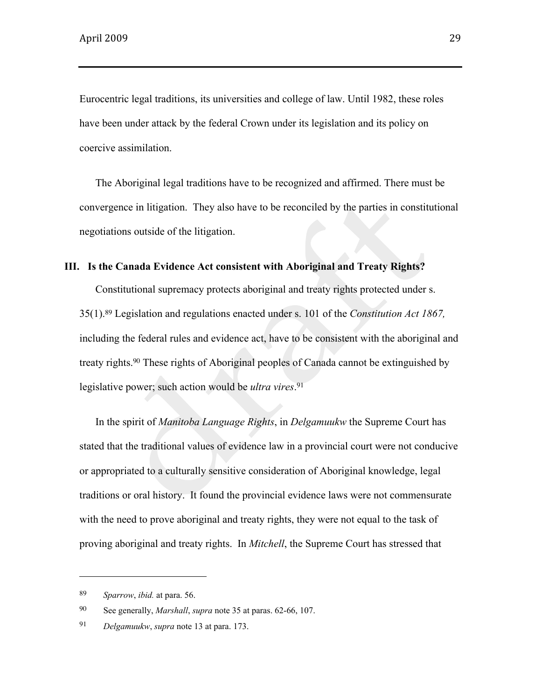Eurocentric legal traditions, its universities and college of law. Until 1982, these roles have been under attack by the federal Crown under its legislation and its policy on coercive assimilation.

The Aboriginal legal traditions have to be recognized and affirmed. There must be convergence in litigation. They also have to be reconciled by the parties in constitutional negotiations outside of the litigation.

# **III. Is the Canada Evidence Act consistent with Aboriginal and Treaty Rights?**

Constitutional supremacy protects aboriginal and treaty rights protected under s. 35(1).89 Legislation and regulations enacted under s. 101 of the *Constitution Act 1867,* including the federal rules and evidence act, have to be consistent with the aboriginal and treaty rights.90 These rights of Aboriginal peoples of Canada cannot be extinguished by legislative power; such action would be *ultra vires*. 91

In the spirit of *Manitoba Language Rights*, in *Delgamuukw* the Supreme Court has stated that the traditional values of evidence law in a provincial court were not conducive or appropriated to a culturally sensitive consideration of Aboriginal knowledge, legal traditions or oral history. It found the provincial evidence laws were not commensurate with the need to prove aboriginal and treaty rights, they were not equal to the task of proving aboriginal and treaty rights. In *Mitchell*, the Supreme Court has stressed that

<sup>89</sup> *Sparrow*, *ibid.* at para. 56.

<sup>90</sup> See generally, *Marshall*, *supra* note 35 at paras. 62-66, 107.

<sup>91</sup> *Delgamuukw*, *supra* note 13 at para. 173.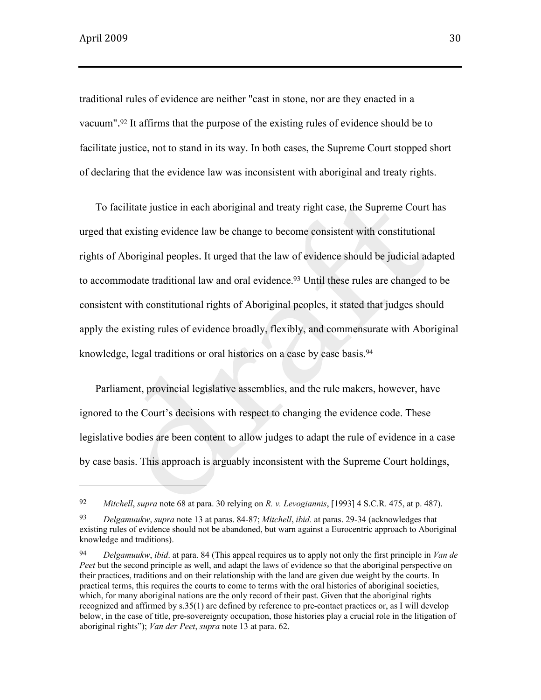traditional rules of evidence are neither "cast in stone, nor are they enacted in a vacuum".<sup>92</sup> It affirms that the purpose of the existing rules of evidence should be to facilitate justice, not to stand in its way. In both cases, the Supreme Court stopped short of declaring that the evidence law was inconsistent with aboriginal and treaty rights.

To facilitate justice in each aboriginal and treaty right case, the Supreme Court has urged that existing evidence law be change to become consistent with constitutional rights of Aboriginal peoples. It urged that the law of evidence should be judicial adapted to accommodate traditional law and oral evidence.<sup>93</sup> Until these rules are changed to be consistent with constitutional rights of Aboriginal peoples, it stated that judges should apply the existing rules of evidence broadly, flexibly, and commensurate with Aboriginal knowledge, legal traditions or oral histories on a case by case basis.<sup>94</sup>

Parliament, provincial legislative assemblies, and the rule makers, however, have ignored to the Court's decisions with respect to changing the evidence code. These legislative bodies are been content to allow judges to adapt the rule of evidence in a case by case basis. This approach is arguably inconsistent with the Supreme Court holdings,

<sup>92</sup> *Mitchell*, *supra* note 68 at para. 30 relying on *R. v. Levogiannis*, [1993] 4 S.C.R. 475, at p. 487).

<sup>93</sup> *Delgamuukw*, *supra* note 13 at paras. 84-87; *Mitchell*, *ibid.* at paras. 29-34 (acknowledges that existing rules of evidence should not be abandoned, but warn against a Eurocentric approach to Aboriginal knowledge and traditions).

<sup>94</sup> *Delgamuukw*, *ibid*. at para. 84 (This appeal requires us to apply not only the first principle in *Van de Peet* but the second principle as well, and adapt the laws of evidence so that the aboriginal perspective on their practices, traditions and on their relationship with the land are given due weight by the courts. In practical terms, this requires the courts to come to terms with the oral histories of aboriginal societies, which, for many aboriginal nations are the only record of their past. Given that the aboriginal rights recognized and affirmed by s.35(1) are defined by reference to pre-contact practices or, as I will develop below, in the case of title, pre-sovereignty occupation, those histories play a crucial role in the litigation of aboriginal rights"); *Van der Peet*, *supra* note 13 at para. 62.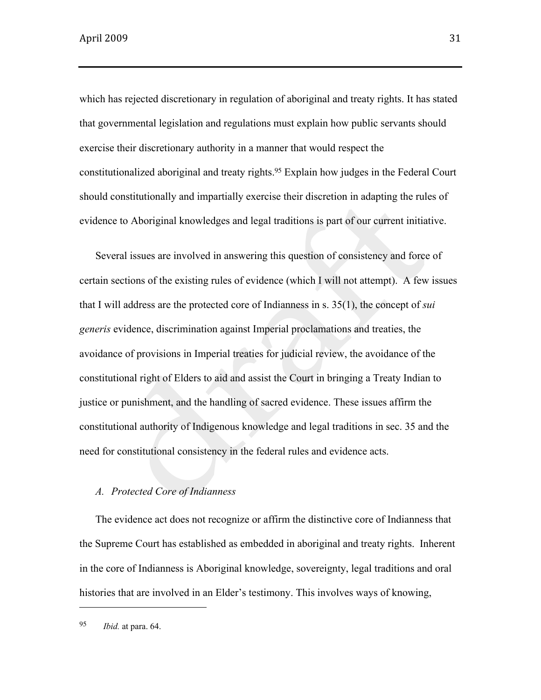which has rejected discretionary in regulation of aboriginal and treaty rights. It has stated that governmental legislation and regulations must explain how public servants should exercise their discretionary authority in a manner that would respect the constitutionalized aboriginal and treaty rights.95 Explain how judges in the Federal Court should constitutionally and impartially exercise their discretion in adapting the rules of evidence to Aboriginal knowledges and legal traditions is part of our current initiative.

Several issues are involved in answering this question of consistency and force of certain sections of the existing rules of evidence (which I will not attempt). A few issues that I will address are the protected core of Indianness in s. 35(1), the concept of *sui generis* evidence, discrimination against Imperial proclamations and treaties, the avoidance of provisions in Imperial treaties for judicial review, the avoidance of the constitutional right of Elders to aid and assist the Court in bringing a Treaty Indian to justice or punishment, and the handling of sacred evidence. These issues affirm the constitutional authority of Indigenous knowledge and legal traditions in sec. 35 and the need for constitutional consistency in the federal rules and evidence acts.

### *A. Protected Core of Indianness*

The evidence act does not recognize or affirm the distinctive core of Indianness that the Supreme Court has established as embedded in aboriginal and treaty rights. Inherent in the core of Indianness is Aboriginal knowledge, sovereignty, legal traditions and oral histories that are involved in an Elder's testimony. This involves ways of knowing,

<sup>95</sup> *Ibid.* at para. 64.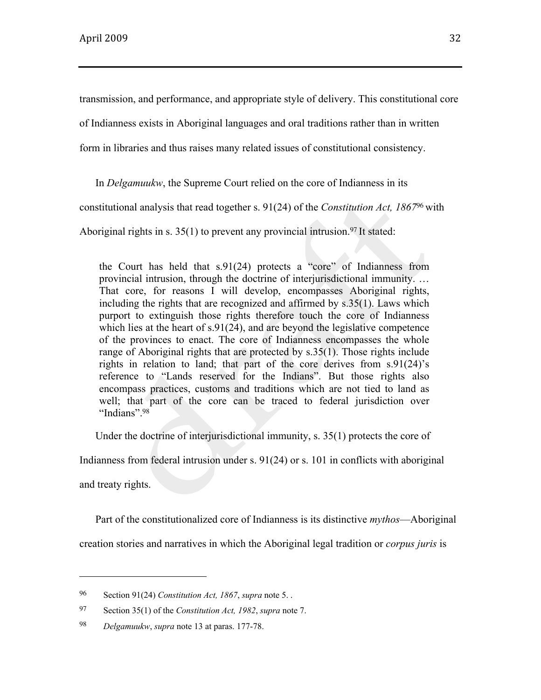transmission, and performance, and appropriate style of delivery. This constitutional core

of Indianness exists in Aboriginal languages and oral traditions rather than in written

form in libraries and thus raises many related issues of constitutional consistency.

In *Delgamuukw*, the Supreme Court relied on the core of Indianness in its

constitutional analysis that read together s. 91(24) of the *Constitution Act, 1867*<sup>96</sup> with

Aboriginal rights in s. 35(1) to prevent any provincial intrusion. <sup>97</sup> It stated:

the Court has held that s.91(24) protects a "core" of Indianness from provincial intrusion, through the doctrine of interjurisdictional immunity. … That core, for reasons I will develop, encompasses Aboriginal rights, including the rights that are recognized and affirmed by s.35(1). Laws which purport to extinguish those rights therefore touch the core of Indianness which lies at the heart of s.91(24), and are beyond the legislative competence of the provinces to enact. The core of Indianness encompasses the whole range of Aboriginal rights that are protected by s.35(1). Those rights include rights in relation to land; that part of the core derives from s.91(24)'s reference to "Lands reserved for the Indians". But those rights also encompass practices, customs and traditions which are not tied to land as well; that part of the core can be traced to federal jurisdiction over "Indians".<sup>98</sup>

Under the doctrine of interjurisdictional immunity, s. 35(1) protects the core of

Indianness from federal intrusion under s. 91(24) or s. 101 in conflicts with aboriginal

and treaty rights.

Part of the constitutionalized core of Indianness is its distinctive *mythos*—Aboriginal

creation stories and narratives in which the Aboriginal legal tradition or *corpus juris* is

<sup>96</sup> Section 91(24) *Constitution Act, 1867*, *supra* note 5. .

<sup>97</sup> Section 35(1) of the *Constitution Act, 1982*, *supra* note 7.

<sup>98</sup> *Delgamuukw*, *supra* note 13 at paras. 177-78.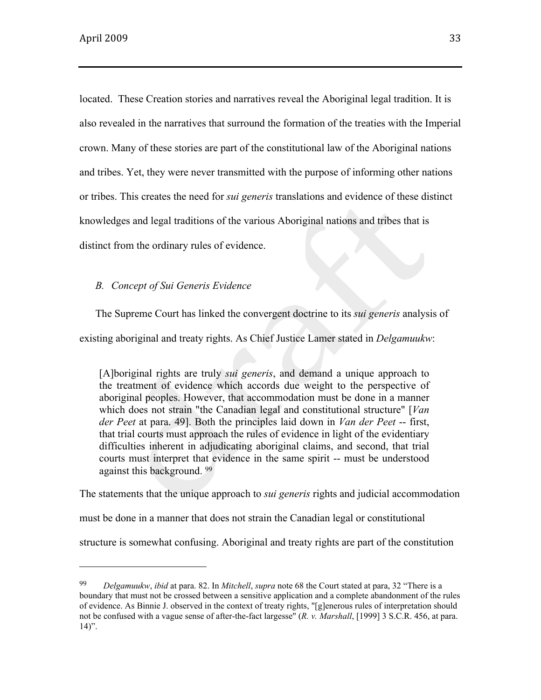located. These Creation stories and narratives reveal the Aboriginal legal tradition. It is also revealed in the narratives that surround the formation of the treaties with the Imperial crown. Many of these stories are part of the constitutional law of the Aboriginal nations and tribes. Yet, they were never transmitted with the purpose of informing other nations or tribes. This creates the need for *sui generis* translations and evidence of these distinct knowledges and legal traditions of the various Aboriginal nations and tribes that is distinct from the ordinary rules of evidence.

#### *B. Concept of Sui Generis Evidence*

The Supreme Court has linked the convergent doctrine to its *sui generis* analysis of existing aboriginal and treaty rights. As Chief Justice Lamer stated in *Delgamuukw*:

[A]boriginal rights are truly *sui generis*, and demand a unique approach to the treatment of evidence which accords due weight to the perspective of aboriginal peoples. However, that accommodation must be done in a manner which does not strain "the Canadian legal and constitutional structure" [*Van der Peet* at para. 49]. Both the principles laid down in *Van der Peet* -- first, that trial courts must approach the rules of evidence in light of the evidentiary difficulties inherent in adjudicating aboriginal claims, and second, that trial courts must interpret that evidence in the same spirit -- must be understood against this background. <sup>99</sup>

The statements that the unique approach to *sui generis* rights and judicial accommodation

must be done in a manner that does not strain the Canadian legal or constitutional

structure is somewhat confusing. Aboriginal and treaty rights are part of the constitution

<sup>99</sup> *Delgamuukw*, *ibid* at para. 82. In *Mitchell*, *supra* note 68 the Court stated at para, 32 "There is a boundary that must not be crossed between a sensitive application and a complete abandonment of the rules of evidence. As Binnie J. observed in the context of treaty rights, "[g]enerous rules of interpretation should not be confused with a vague sense of after-the-fact largesse" (*R. v. Marshall*, [1999] 3 S.C.R. 456, at para.  $14$ ".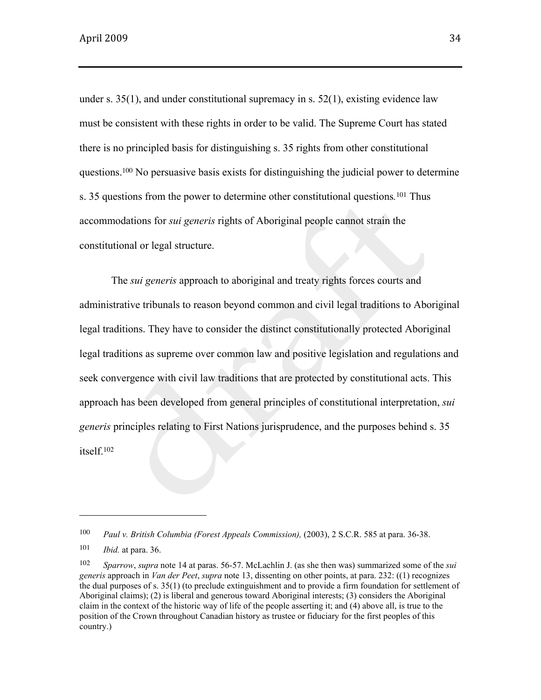under s.  $35(1)$ , and under constitutional supremacy in s.  $52(1)$ , existing evidence law must be consistent with these rights in order to be valid. The Supreme Court has stated there is no principled basis for distinguishing s. 35 rights from other constitutional questions.100 No persuasive basis exists for distinguishing the judicial power to determine s. 35 questions from the power to determine other constitutional questions*.*<sup>101</sup> Thus accommodations for *sui generis* rights of Aboriginal people cannot strain the constitutional or legal structure.

The *sui generis* approach to aboriginal and treaty rights forces courts and administrative tribunals to reason beyond common and civil legal traditions to Aboriginal legal traditions. They have to consider the distinct constitutionally protected Aboriginal legal traditions as supreme over common law and positive legislation and regulations and seek convergence with civil law traditions that are protected by constitutional acts. This approach has been developed from general principles of constitutional interpretation, *sui generis* principles relating to First Nations jurisprudence, and the purposes behind s. 35 itself.<sup>102</sup>

<sup>100</sup> *Paul v. British Columbia (Forest Appeals Commission),* (2003), 2 S.C.R. 585 at para. 36-38.

<sup>101</sup> *Ibid.* at para. 36.

<sup>102</sup> *Sparrow*, *supra* note 14 at paras. 56-57. McLachlin J. (as she then was) summarized some of the *sui generis* approach in *Van der Peet*, *supra* note 13, dissenting on other points, at para. 232: ((1) recognizes the dual purposes of s. 35(1) (to preclude extinguishment and to provide a firm foundation for settlement of Aboriginal claims); (2) is liberal and generous toward Aboriginal interests; (3) considers the Aboriginal claim in the context of the historic way of life of the people asserting it; and (4) above all, is true to the position of the Crown throughout Canadian history as trustee or fiduciary for the first peoples of this country.)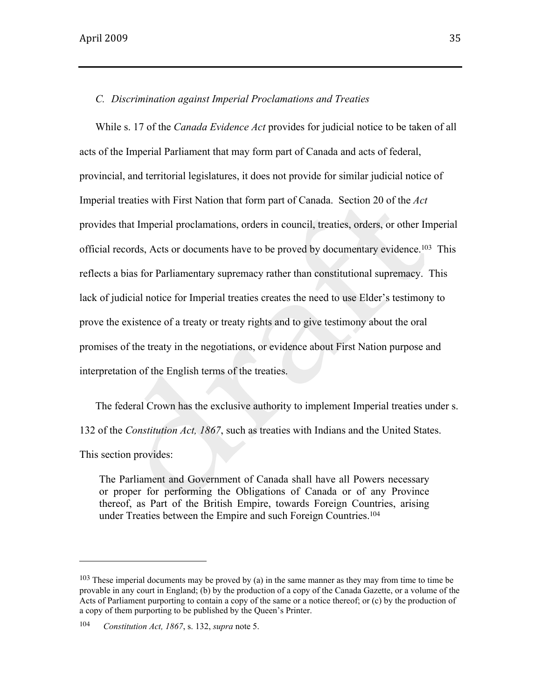### *C. Discrimination against Imperial Proclamations and Treaties*

While s. 17 of the *Canada Evidence Act* provides for judicial notice to be taken of all acts of the Imperial Parliament that may form part of Canada and acts of federal, provincial, and territorial legislatures, it does not provide for similar judicial notice of Imperial treaties with First Nation that form part of Canada. Section 20 of the *Act* provides that Imperial proclamations, orders in council, treaties, orders, or other Imperial official records, Acts or documents have to be proved by documentary evidence.103 This reflects a bias for Parliamentary supremacy rather than constitutional supremacy. This lack of judicial notice for Imperial treaties creates the need to use Elder's testimony to prove the existence of a treaty or treaty rights and to give testimony about the oral promises of the treaty in the negotiations, or evidence about First Nation purpose and interpretation of the English terms of the treaties.

The federal Crown has the exclusive authority to implement Imperial treaties under s. 132 of the *Constitution Act, 1867*, such as treaties with Indians and the United States. This section provides:

The Parliament and Government of Canada shall have all Powers necessary or proper for performing the Obligations of Canada or of any Province thereof, as Part of the British Empire, towards Foreign Countries, arising under Treaties between the Empire and such Foreign Countries.<sup>104</sup>

<sup>&</sup>lt;sup>103</sup> These imperial documents may be proved by (a) in the same manner as they may from time to time be provable in any court in England; (b) by the production of a copy of the Canada Gazette, or a volume of the Acts of Parliament purporting to contain a copy of the same or a notice thereof; or (c) by the production of a copy of them purporting to be published by the Queen's Printer.

<sup>104</sup> *Constitution Act, 1867*, s. 132, *supra* note 5.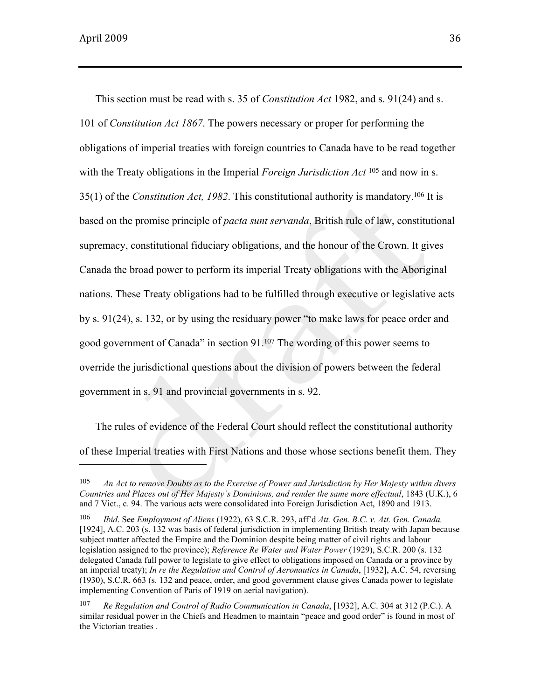This section must be read with s. 35 of *Constitution Act* 1982, and s. 91(24) and s. 101 of *Constitution Act 1867*. The powers necessary or proper for performing the obligations of imperial treaties with foreign countries to Canada have to be read together with the Treaty obligations in the Imperial *Foreign Jurisdiction Act* <sup>105</sup> and now in s. 35(1) of the *Constitution Act, 1982*. This constitutional authority is mandatory.106 It is based on the promise principle of *pacta sunt servanda*, British rule of law, constitutional supremacy, constitutional fiduciary obligations, and the honour of the Crown. It gives Canada the broad power to perform its imperial Treaty obligations with the Aboriginal nations. These Treaty obligations had to be fulfilled through executive or legislative acts by s. 91(24), s. 132, or by using the residuary power "to make laws for peace order and good government of Canada" in section 91.<sup>107</sup> The wording of this power seems to override the jurisdictional questions about the division of powers between the federal government in s. 91 and provincial governments in s. 92.

The rules of evidence of the Federal Court should reflect the constitutional authority of these Imperial treaties with First Nations and those whose sections benefit them. They

<sup>105</sup> *An Act to remove Doubts as to the Exercise of Power and Jurisdiction by Her Majesty within divers Countries and Places out of Her Majesty's Dominions, and render the same more effectual*, 1843 (U.K.), 6 and 7 Vict., c. 94. The various acts were consolidated into Foreign Jurisdiction Act, 1890 and 1913.

<sup>106</sup> *Ibid*. See *Employment of Aliens* (1922), 63 S.C.R. 293, aff'd *Att. Gen. B.C. v. Att. Gen. Canada,* [1924], A.C. 203 (s. 132 was basis of federal jurisdiction in implementing British treaty with Japan because subject matter affected the Empire and the Dominion despite being matter of civil rights and labour legislation assigned to the province); *Reference Re Water and Water Power* (1929), S.C.R. 200 (s. 132 delegated Canada full power to legislate to give effect to obligations imposed on Canada or a province by an imperial treaty); *In re the Regulation and Control of Aeronautics in Canada*, [1932], A.C. 54, reversing (1930), S.C.R. 663 (s. 132 and peace, order, and good government clause gives Canada power to legislate implementing Convention of Paris of 1919 on aerial navigation).

<sup>107</sup> *Re Regulation and Control of Radio Communication in Canada*, [1932], A.C. 304 at 312 (P.C.). A similar residual power in the Chiefs and Headmen to maintain "peace and good order" is found in most of the Victorian treaties .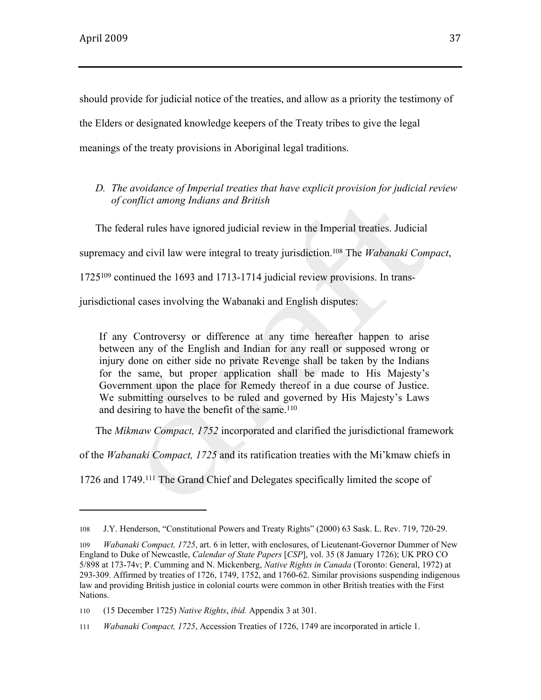should provide for judicial notice of the treaties, and allow as a priority the testimony of the Elders or designated knowledge keepers of the Treaty tribes to give the legal meanings of the treaty provisions in Aboriginal legal traditions.

*D. The avoidance of Imperial treaties that have explicit provision for judicial review of conflict among Indians and British*

The federal rules have ignored judicial review in the Imperial treaties. Judicial supremacy and civil law were integral to treaty jurisdiction.108 The *Wabanaki Compact*, 1725109 continued the 1693 and 1713-1714 judicial review provisions. In transjurisdictional cases involving the Wabanaki and English disputes:

If any Controversy or difference at any time hereafter happen to arise between any of the English and Indian for any reall or supposed wrong or injury done on either side no private Revenge shall be taken by the Indians for the same, but proper application shall be made to His Majesty's Government upon the place for Remedy thereof in a due course of Justice. We submitting ourselves to be ruled and governed by His Majesty's Laws and desiring to have the benefit of the same.<sup>110</sup>

The *Míkmaw Compact, 1752* incorporated and clarified the jurisdictional framework

of the *Wabanaki Compact, 1725* and its ratification treaties with the Mi'kmaw chiefs in

1726 and 1749.111 The Grand Chief and Delegates specifically limited the scope of

<sup>108</sup> J.Y. Henderson, "Constitutional Powers and Treaty Rights" (2000) 63 Sask. L. Rev. 719, 720-29.

<sup>109</sup> *Wabanaki Compact, 1725*, art. 6 in letter, with enclosures, of Lieutenant-Governor Dummer of New England to Duke of Newcastle, *Calendar of State Papers* [*CSP*], vol. 35 (8 January 1726); UK PRO CO 5/898 at 173-74v; P. Cumming and N. Mickenberg, *Native Rights in Canada* (Toronto: General, 1972) at 293-309. Affirmed by treaties of 1726, 1749, 1752, and 1760-62. Similar provisions suspending indigenous law and providing British justice in colonial courts were common in other British treaties with the First Nations.

<sup>110</sup> (15 December 1725) *Native Rights*, *ibid.* Appendix 3 at 301.

<sup>111</sup> *Wabanaki Compact, 1725*, Accession Treaties of 1726, 1749 are incorporated in article 1.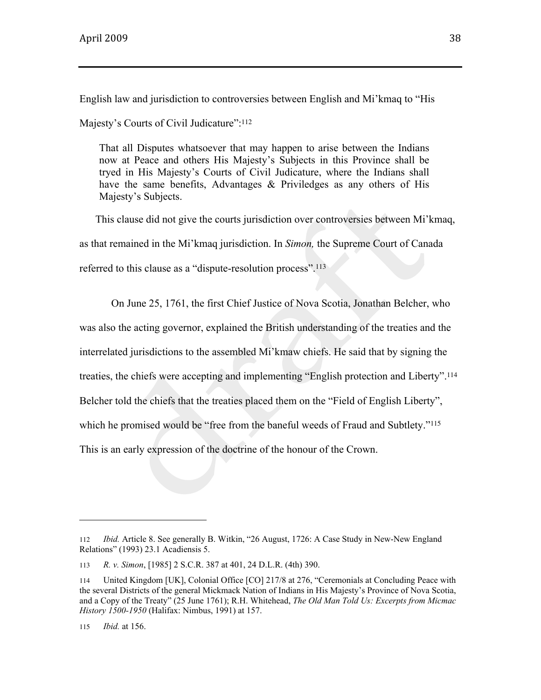English law and jurisdiction to controversies between English and Mi'kmaq to "His

Majesty's Courts of Civil Judicature":<sup>112</sup>

That all Disputes whatsoever that may happen to arise between the Indians now at Peace and others His Majesty's Subjects in this Province shall be tryed in His Majesty's Courts of Civil Judicature, where the Indians shall have the same benefits, Advantages & Priviledges as any others of His Majesty's Subjects.

This clause did not give the courts jurisdiction over controversies between Mi'kmaq, as that remained in the Mi'kmaq jurisdiction. In *Simon,* the Supreme Court of Canada referred to this clause as a "dispute-resolution process".<sup>113</sup>

On June 25, 1761, the first Chief Justice of Nova Scotia, Jonathan Belcher, who was also the acting governor, explained the British understanding of the treaties and the interrelated jurisdictions to the assembled Mi'kmaw chiefs. He said that by signing the treaties, the chiefs were accepting and implementing "English protection and Liberty".<sup>114</sup> Belcher told the chiefs that the treaties placed them on the "Field of English Liberty", which he promised would be "free from the baneful weeds of Fraud and Subtlety."<sup>115</sup> This is an early expression of the doctrine of the honour of the Crown.

<sup>112</sup> *Ibid.* Article 8. See generally B. Witkin, "26 August, 1726: A Case Study in New-New England Relations" (1993) 23.1 Acadiensis 5.

<sup>113</sup> *R. v. Simon*, [1985] 2 S.C.R. 387 at 401, 24 D.L.R. (4th) 390.

<sup>114</sup> United Kingdom [UK], Colonial Office [CO] 217/8 at 276, "Ceremonials at Concluding Peace with the several Districts of the general Mickmack Nation of Indians in His Majesty's Province of Nova Scotia, and a Copy of the Treaty" (25 June 1761); R.H. Whitehead, *The Old Man Told Us: Excerpts from Micmac History 1500-1950* (Halifax: Nimbus, 1991) at 157.

<sup>115</sup> *Ibid.* at 156.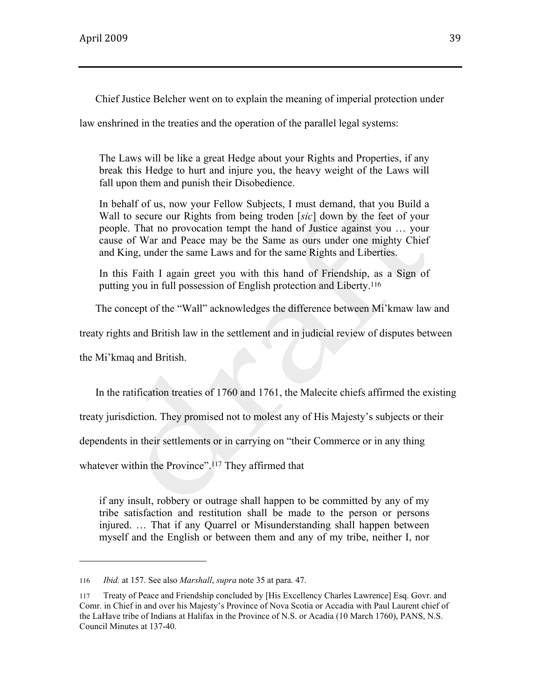Chief Justice Belcher went on to explain the meaning of imperial protection under

law enshrined in the treaties and the operation of the parallel legal systems:

The Laws will be like a great Hedge about your Rights and Properties, if any break this Hedge to hurt and injure you, the heavy weight of the Laws will fall upon them and punish their Disobedience.

In behalf of us, now your Fellow Subjects, I must demand, that you Build a Wall to secure our Rights from being troden [*sic*] down by the feet of your people. That no provocation tempt the hand of Justice against you … your cause of War and Peace may be the Same as ours under one mighty Chief and King, under the same Laws and for the same Rights and Liberties.

In this Faith I again greet you with this hand of Friendship, as a Sign of putting you in full possession of English protection and Liberty.<sup>116</sup>

The concept of the "Wall" acknowledges the difference between Mi'kmaw law and

treaty rights and British law in the settlement and in judicial review of disputes between

the Mi'kmaq and British.

In the ratification treaties of 1760 and 1761, the Malecite chiefs affirmed the existing

treaty jurisdiction. They promised not to molest any of His Majesty's subjects or their

dependents in their settlements or in carrying on "their Commerce or in any thing

whatever within the Province".<sup>117</sup> They affirmed that

if any insult, robbery or outrage shall happen to be committed by any of my tribe satisfaction and restitution shall be made to the person or persons injured. … That if any Quarrel or Misunderstanding shall happen between myself and the English or between them and any of my tribe, neither I, nor

<sup>116</sup> *Ibid.* at 157. See also *Marshall*, *supra* note 35 at para. 47.

<sup>117</sup> Treaty of Peace and Friendship concluded by [His Excellency Charles Lawrence] Esq. Govr. and Comr. in Chief in and over his Majesty's Province of Nova Scotia or Accadia with Paul Laurent chief of the LaHave tribe of Indians at Halifax in the Province of N.S. or Acadia (10 March 1760), PANS, N.S. Council Minutes at 137-40.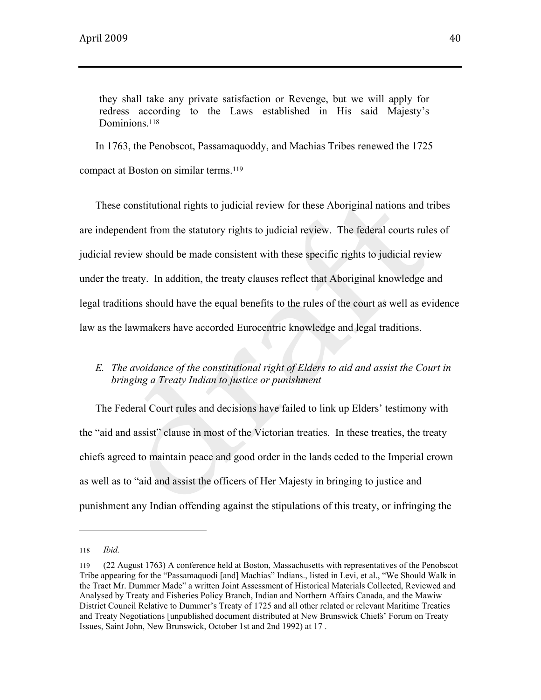they shall take any private satisfaction or Revenge, but we will apply for redress according to the Laws established in His said Majesty's Dominions.<sup>118</sup>

In 1763, the Penobscot, Passamaquoddy, and Machias Tribes renewed the 1725 compact at Boston on similar terms.<sup>119</sup>

These constitutional rights to judicial review for these Aboriginal nations and tribes are independent from the statutory rights to judicial review. The federal courts rules of judicial review should be made consistent with these specific rights to judicial review under the treaty. In addition, the treaty clauses reflect that Aboriginal knowledge and legal traditions should have the equal benefits to the rules of the court as well as evidence law as the lawmakers have accorded Eurocentric knowledge and legal traditions.

# *E. The avoidance of the constitutional right of Elders to aid and assist the Court in bringing a Treaty Indian to justice or punishment*

The Federal Court rules and decisions have failed to link up Elders' testimony with the "aid and assist" clause in most of the Victorian treaties. In these treaties, the treaty chiefs agreed to maintain peace and good order in the lands ceded to the Imperial crown as well as to "aid and assist the officers of Her Majesty in bringing to justice and punishment any Indian offending against the stipulations of this treaty, or infringing the

<sup>118</sup> *Ibid.*

<sup>119</sup> (22 August 1763) A conference held at Boston, Massachusetts with representatives of the Penobscot Tribe appearing for the "Passamaquodi [and] Machias" Indians., listed in Levi, et al., "We Should Walk in the Tract Mr. Dummer Made" a written Joint Assessment of Historical Materials Collected, Reviewed and Analysed by Treaty and Fisheries Policy Branch, Indian and Northern Affairs Canada, and the Mawiw District Council Relative to Dummer's Treaty of 1725 and all other related or relevant Maritime Treaties and Treaty Negotiations [unpublished document distributed at New Brunswick Chiefs' Forum on Treaty Issues, Saint John, New Brunswick, October 1st and 2nd 1992) at 17 .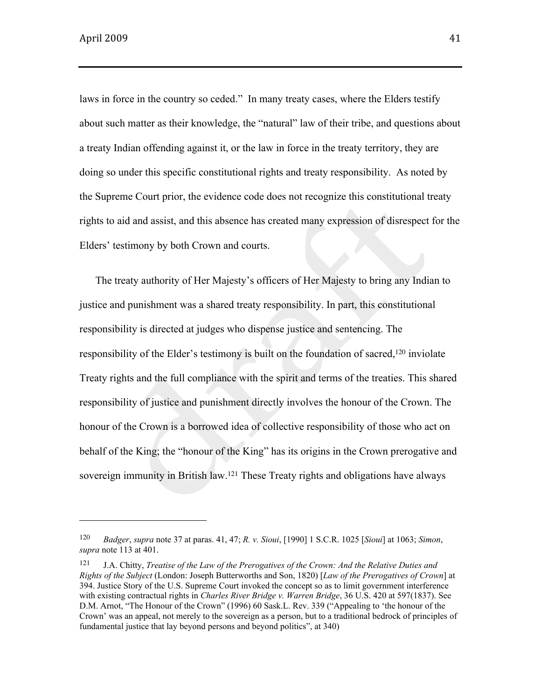laws in force in the country so ceded." In many treaty cases, where the Elders testify about such matter as their knowledge, the "natural" law of their tribe, and questions about a treaty Indian offending against it, or the law in force in the treaty territory, they are doing so under this specific constitutional rights and treaty responsibility. As noted by the Supreme Court prior, the evidence code does not recognize this constitutional treaty rights to aid and assist, and this absence has created many expression of disrespect for the Elders' testimony by both Crown and courts.

The treaty authority of Her Majesty's officers of Her Majesty to bring any Indian to justice and punishment was a shared treaty responsibility. In part, this constitutional responsibility is directed at judges who dispense justice and sentencing. The responsibility of the Elder's testimony is built on the foundation of sacred,120 inviolate Treaty rights and the full compliance with the spirit and terms of the treaties. This shared responsibility of justice and punishment directly involves the honour of the Crown. The honour of the Crown is a borrowed idea of collective responsibility of those who act on behalf of the King; the "honour of the King" has its origins in the Crown prerogative and sovereign immunity in British law.121 These Treaty rights and obligations have always

<sup>120</sup> *Badger*, *supra* note 37 at paras. 41, 47; *R. v. Sioui*, [1990] 1 S.C.R. 1025 [*Sioui*] at 1063; *Simon*, *supra* note 113 at 401.

<sup>121</sup> J.A. Chitty, *Treatise of the Law of the Prerogatives of the Crown: And the Relative Duties and Rights of the Subject* (London: Joseph Butterworths and Son, 1820) [*Law of the Prerogatives of Crown*] at 394. Justice Story of the U.S. Supreme Court invoked the concept so as to limit government interference with existing contractual rights in *Charles River Bridge v. Warren Bridge*, 36 U.S. 420 at 597(1837). See D.M. Arnot, "The Honour of the Crown" (1996) 60 Sask.L. Rev. 339 ("Appealing to 'the honour of the Crown' was an appeal, not merely to the sovereign as a person, but to a traditional bedrock of principles of fundamental justice that lay beyond persons and beyond politics", at 340)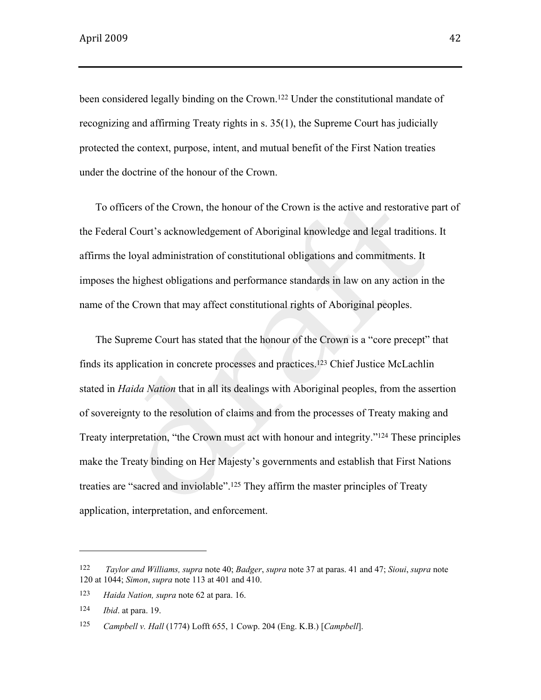been considered legally binding on the Crown.122 Under the constitutional mandate of recognizing and affirming Treaty rights in s. 35(1), the Supreme Court has judicially protected the context, purpose, intent, and mutual benefit of the First Nation treaties under the doctrine of the honour of the Crown.

To officers of the Crown, the honour of the Crown is the active and restorative part of the Federal Court's acknowledgement of Aboriginal knowledge and legal traditions. It affirms the loyal administration of constitutional obligations and commitments. It imposes the highest obligations and performance standards in law on any action in the name of the Crown that may affect constitutional rights of Aboriginal peoples.

The Supreme Court has stated that the honour of the Crown is a "core precept" that finds its application in concrete processes and practices.123 Chief Justice McLachlin stated in *Haida Nation* that in all its dealings with Aboriginal peoples, from the assertion of sovereignty to the resolution of claims and from the processes of Treaty making and Treaty interpretation, "the Crown must act with honour and integrity."124 These principles make the Treaty binding on Her Majesty's governments and establish that First Nations treaties are "sacred and inviolable".125 They affirm the master principles of Treaty application, interpretation, and enforcement.

<sup>122</sup> *Taylor and Williams, supra* note 40; *Badger*, *supra* note 37 at paras. 41 and 47; *Sioui*, *supra* note 120 at 1044; *Simon*, *supra* note 113 at 401 and 410.

<sup>123</sup> *Haida Nation, supra* note 62 at para. 16.

<sup>124</sup> *Ibid*. at para. 19.

<sup>125</sup> *Campbell v. Hall* (1774) Lofft 655, 1 Cowp. 204 (Eng. K.B.) [*Campbell*].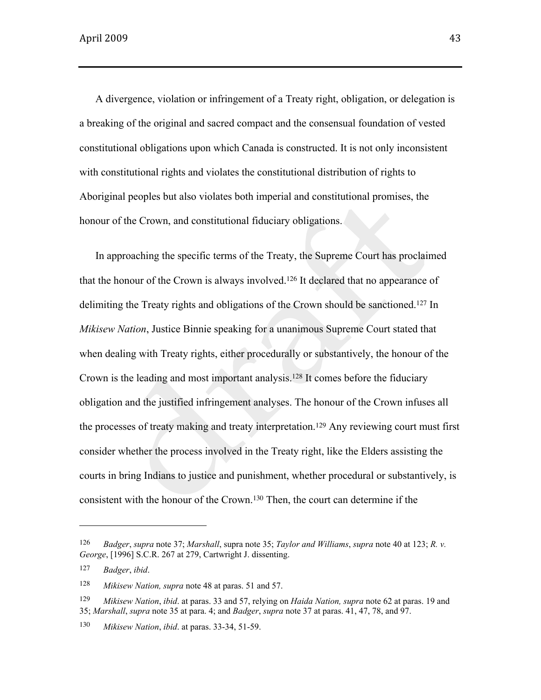A divergence, violation or infringement of a Treaty right, obligation, or delegation is a breaking of the original and sacred compact and the consensual foundation of vested constitutional obligations upon which Canada is constructed. It is not only inconsistent with constitutional rights and violates the constitutional distribution of rights to Aboriginal peoples but also violates both imperial and constitutional promises, the honour of the Crown, and constitutional fiduciary obligations.

In approaching the specific terms of the Treaty, the Supreme Court has proclaimed that the honour of the Crown is always involved.126 It declared that no appearance of delimiting the Treaty rights and obligations of the Crown should be sanctioned.127 In *Mikisew Nation*, Justice Binnie speaking for a unanimous Supreme Court stated that when dealing with Treaty rights, either procedurally or substantively, the honour of the Crown is the leading and most important analysis.128 It comes before the fiduciary obligation and the justified infringement analyses. The honour of the Crown infuses all the processes of treaty making and treaty interpretation.129 Any reviewing court must first consider whether the process involved in the Treaty right, like the Elders assisting the courts in bring Indians to justice and punishment, whether procedural or substantively, is consistent with the honour of the Crown.130 Then, the court can determine if the

<sup>126</sup> *Badger*, *supra* note 37; *Marshall*, supra note 35; *Taylor and Williams*, *supra* note 40 at 123; *R. v. George*, [1996] S.C.R. 267 at 279, Cartwright J. dissenting.

<sup>127</sup> *Badger*, *ibid*.

<sup>128</sup> *Mikisew Nation, supra* note 48 at paras. 51 and 57.

<sup>129</sup> *Mikisew Nation*, *ibid*. at paras. 33 and 57, relying on *Haida Nation, supra* note 62 at paras. 19 and 35; *Marshall*, *supra* note 35 at para. 4; and *Badger*, *supra* note 37 at paras. 41, 47, 78, and 97.

<sup>130</sup> *Mikisew Nation*, *ibid*. at paras. 33-34, 51-59.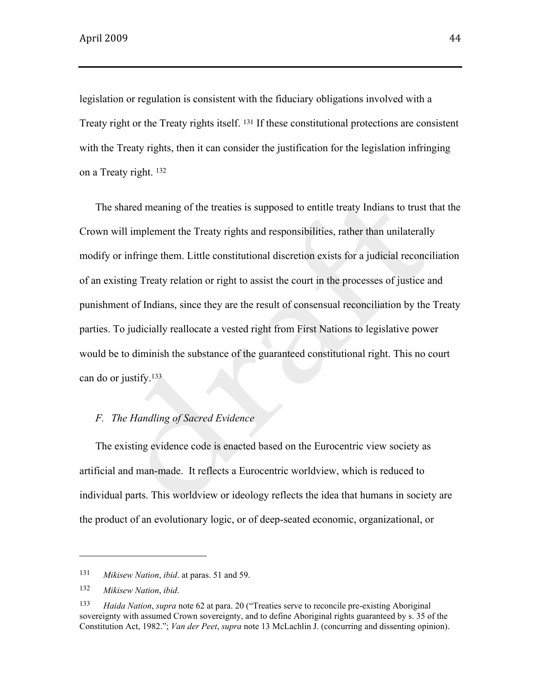legislation or regulation is consistent with the fiduciary obligations involved with a Treaty right or the Treaty rights itself. 131 If these constitutional protections are consistent with the Treaty rights, then it can consider the justification for the legislation infringing on a Treaty right. <sup>132</sup>

The shared meaning of the treaties is supposed to entitle treaty Indians to trust that the Crown will implement the Treaty rights and responsibilities, rather than unilaterally modify or infringe them. Little constitutional discretion exists for a judicial reconciliation of an existing Treaty relation or right to assist the court in the processes of justice and punishment of Indians, since they are the result of consensual reconciliation by the Treaty parties. To judicially reallocate a vested right from First Nations to legislative power would be to diminish the substance of the guaranteed constitutional right. This no court can do or justify.<sup>133</sup>

# *F. The Handling of Sacred Evidence*

The existing evidence code is enacted based on the Eurocentric view society as artificial and man-made. It reflects a Eurocentric worldview, which is reduced to individual parts. This worldview or ideology reflects the idea that humans in society are the product of an evolutionary logic, or of deep-seated economic, organizational, or

<sup>131</sup> *Mikisew Nation*, *ibid*. at paras. 51 and 59.

<sup>132</sup> *Mikisew Nation*, *ibid*.

<sup>133</sup> *Haida Nation*, *supra* note 62 at para. 20 ("Treaties serve to reconcile pre-existing Aboriginal sovereignty with assumed Crown sovereignty, and to define Aboriginal rights guaranteed by s. 35 of the Constitution Act, 1982."; *Van der Peet*, *supra* note 13 McLachlin J. (concurring and dissenting opinion).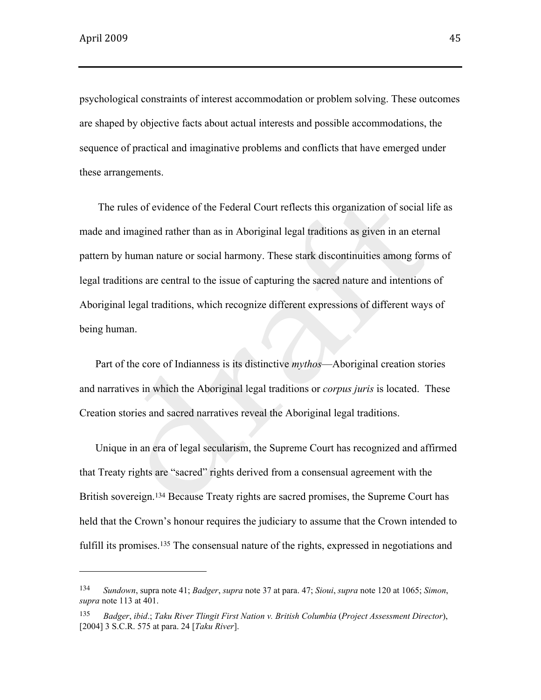psychological constraints of interest accommodation or problem solving. These outcomes are shaped by objective facts about actual interests and possible accommodations, the sequence of practical and imaginative problems and conflicts that have emerged under these arrangements.

 The rules of evidence of the Federal Court reflects this organization of social life as made and imagined rather than as in Aboriginal legal traditions as given in an eternal pattern by human nature or social harmony. These stark discontinuities among forms of legal traditions are central to the issue of capturing the sacred nature and intentions of Aboriginal legal traditions, which recognize different expressions of different ways of being human.

Part of the core of Indianness is its distinctive *mythos*—Aboriginal creation stories and narratives in which the Aboriginal legal traditions or *corpus juris* is located. These Creation stories and sacred narratives reveal the Aboriginal legal traditions.

Unique in an era of legal secularism, the Supreme Court has recognized and affirmed that Treaty rights are "sacred" rights derived from a consensual agreement with the British sovereign.134 Because Treaty rights are sacred promises, the Supreme Court has held that the Crown's honour requires the judiciary to assume that the Crown intended to fulfill its promises.<sup>135</sup> The consensual nature of the rights, expressed in negotiations and

<sup>134</sup> *Sundown*, supra note 41; *Badger*, *supra* note 37 at para. 47; *Sioui*, *supra* note 120 at 1065; *Simon*, *supra* note 113 at 401.

<sup>135</sup> *Badger*, *ibid*.; *Taku River Tlingit First Nation v. British Columbia* (*Project Assessment Director*), [2004] 3 S.C.R. 575 at para. 24 [*Taku River*].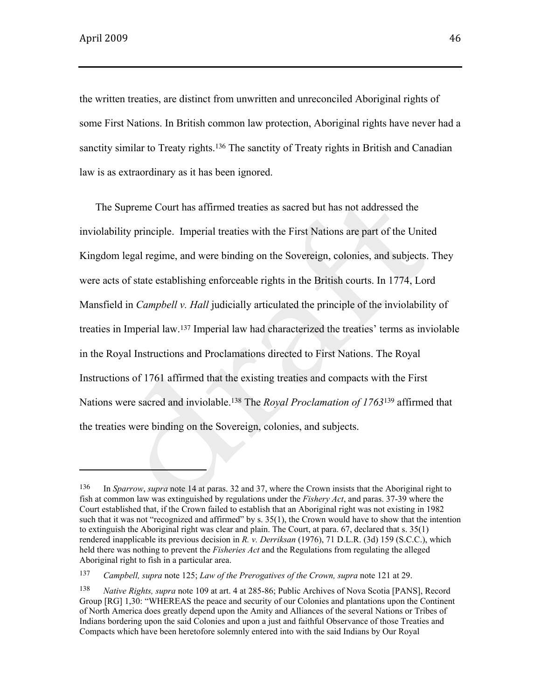the written treaties, are distinct from unwritten and unreconciled Aboriginal rights of some First Nations. In British common law protection, Aboriginal rights have never had a sanctity similar to Treaty rights.<sup>136</sup> The sanctity of Treaty rights in British and Canadian law is as extraordinary as it has been ignored.

The Supreme Court has affirmed treaties as sacred but has not addressed the inviolability principle. Imperial treaties with the First Nations are part of the United Kingdom legal regime, and were binding on the Sovereign, colonies, and subjects. They were acts of state establishing enforceable rights in the British courts. In 1774, Lord Mansfield in *Campbell v. Hall* judicially articulated the principle of the inviolability of treaties in Imperial law.137 Imperial law had characterized the treaties' terms as inviolable in the Royal Instructions and Proclamations directed to First Nations. The Royal Instructions of 1761 affirmed that the existing treaties and compacts with the First Nations were sacred and inviolable.138 The *Royal Proclamation of 1763*139 affirmed that the treaties were binding on the Sovereign, colonies, and subjects.

 $\overline{\phantom{a}}$  and  $\overline{\phantom{a}}$  and  $\overline{\phantom{a}}$  and  $\overline{\phantom{a}}$ 

<sup>136</sup> In *Sparrow*, *supra* note 14 at paras. 32 and 37, where the Crown insists that the Aboriginal right to fish at common law was extinguished by regulations under the *Fishery Act*, and paras. 37-39 where the Court established that, if the Crown failed to establish that an Aboriginal right was not existing in 1982 such that it was not "recognized and affirmed" by s. 35(1), the Crown would have to show that the intention to extinguish the Aboriginal right was clear and plain. The Court, at para. 67, declared that s. 35(1) rendered inapplicable its previous decision in *R. v. Derriksan* (1976), 71 D.L.R. (3d) 159 (S.C.C.), which held there was nothing to prevent the *Fisheries Act* and the Regulations from regulating the alleged Aboriginal right to fish in a particular area.

<sup>137</sup> *Campbell, supra* note 125; *Law of the Prerogatives of the Crown, supra* note 121 at 29.

<sup>138</sup> *Native Rights, supra* note 109 at art. 4 at 285-86; Public Archives of Nova Scotia [PANS], Record Group [RG] 1,30: "WHEREAS the peace and security of our Colonies and plantations upon the Continent of North America does greatly depend upon the Amity and Alliances of the several Nations or Tribes of Indians bordering upon the said Colonies and upon a just and faithful Observance of those Treaties and Compacts which have been heretofore solemnly entered into with the said Indians by Our Royal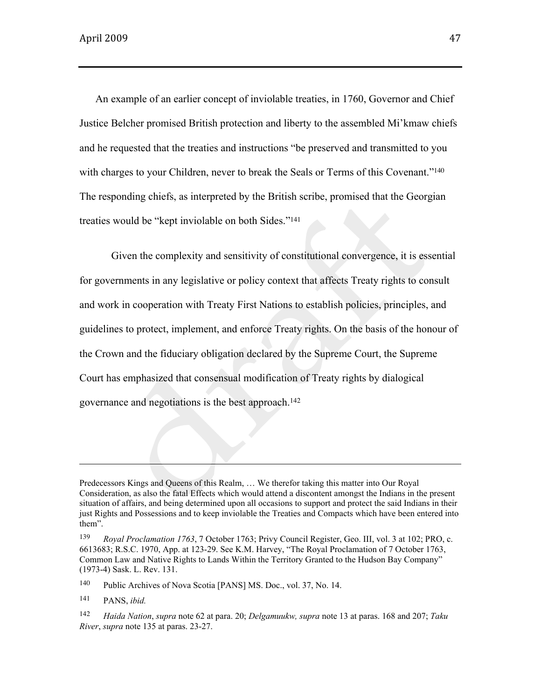An example of an earlier concept of inviolable treaties, in 1760, Governor and Chief Justice Belcher promised British protection and liberty to the assembled Mi'kmaw chiefs and he requested that the treaties and instructions "be preserved and transmitted to you with charges to your Children, never to break the Seals or Terms of this Covenant."<sup>140</sup> The responding chiefs, as interpreted by the British scribe, promised that the Georgian treaties would be "kept inviolable on both Sides."<sup>141</sup>

Given the complexity and sensitivity of constitutional convergence, it is essential for governments in any legislative or policy context that affects Treaty rights to consult and work in cooperation with Treaty First Nations to establish policies, principles, and guidelines to protect, implement, and enforce Treaty rights. On the basis of the honour of the Crown and the fiduciary obligation declared by the Supreme Court, the Supreme Court has emphasized that consensual modification of Treaty rights by dialogical governance and negotiations is the best approach.<sup>142</sup>

140 Public Archives of Nova Scotia [PANS] MS. Doc., vol. 37, No. 14.

141 PANS, *ibid.*

Predecessors Kings and Queens of this Realm, … We therefor taking this matter into Our Royal Consideration, as also the fatal Effects which would attend a discontent amongst the Indians in the present situation of affairs, and being determined upon all occasions to support and protect the said Indians in their just Rights and Possessions and to keep inviolable the Treaties and Compacts which have been entered into them".

<sup>139</sup> *Royal Proclamation 1763*, 7 October 1763; Privy Council Register, Geo. III, vol. 3 at 102; PRO, c. 6613683; R.S.C. 1970, App. at 123-29. See K.M. Harvey, "The Royal Proclamation of 7 October 1763, Common Law and Native Rights to Lands Within the Territory Granted to the Hudson Bay Company" (1973-4) Sask. L. Rev. 131.

<sup>142</sup> *Haida Nation*, *supra* note 62 at para. 20; *Delgamuukw, supra* note 13 at paras. 168 and 207; *Taku River*, *supra* note 135 at paras. 23-27.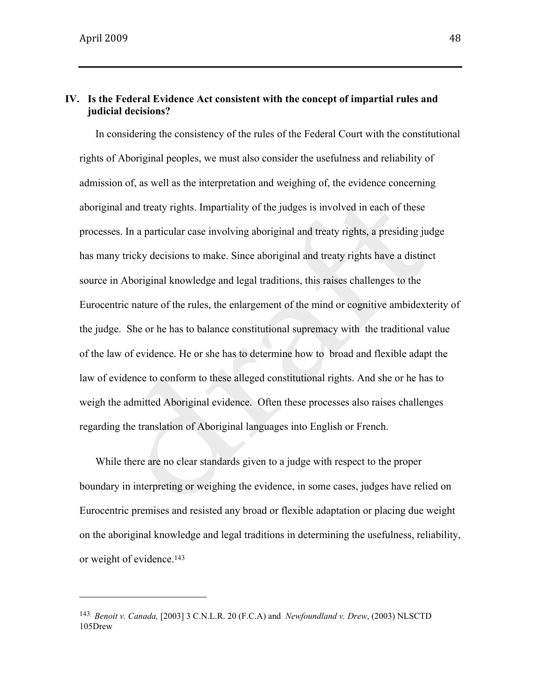## **IV. Is the Federal Evidence Act consistent with the concept of impartial rules and judicial decisions?**

In considering the consistency of the rules of the Federal Court with the constitutional rights of Aboriginal peoples, we must also consider the usefulness and reliability of admission of, as well as the interpretation and weighing of, the evidence concerning aboriginal and treaty rights. Impartiality of the judges is involved in each of these processes. In a particular case involving aboriginal and treaty rights, a presiding judge has many tricky decisions to make. Since aboriginal and treaty rights have a distinct source in Aboriginal knowledge and legal traditions, this raises challenges to the Eurocentric nature of the rules, the enlargement of the mind or cognitive ambidexterity of the judge. She or he has to balance constitutional supremacy with the traditional value of the law of evidence. He or she has to determine how to broad and flexible adapt the law of evidence to conform to these alleged constitutional rights. And she or he has to weigh the admitted Aboriginal evidence. Often these processes also raises challenges regarding the translation of Aboriginal languages into English or French.

While there are no clear standards given to a judge with respect to the proper boundary in interpreting or weighing the evidence, in some cases, judges have relied on Eurocentric premises and resisted any broad or flexible adaptation or placing due weight on the aboriginal knowledge and legal traditions in determining the usefulness, reliability, or weight of evidence.<sup>143</sup>

<sup>143</sup> *Benoit v. Canada,* [2003] 3 C.N.L.R. 20 (F.C.A) and *Newfoundland v. Drew*, (2003) NLSCTD 105Drew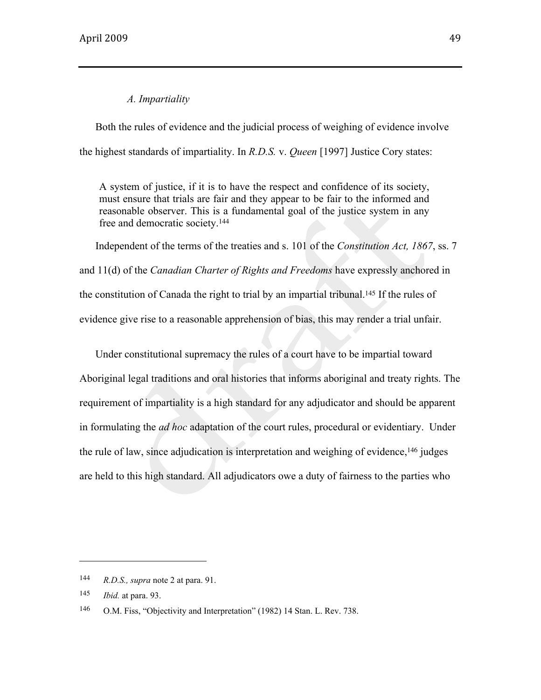#### *A. Impartiality*

Both the rules of evidence and the judicial process of weighing of evidence involve the highest standards of impartiality. In *R.D.S.* v. *Queen* [1997] Justice Cory states:

A system of justice, if it is to have the respect and confidence of its society, must ensure that trials are fair and they appear to be fair to the informed and reasonable observer. This is a fundamental goal of the justice system in any free and democratic society.<sup>144</sup>

Independent of the terms of the treaties and s. 101 of the *Constitution Act, 1867*, ss. 7 and 11(d) of the *Canadian Charter of Rights and Freedoms* have expressly anchored in the constitution of Canada the right to trial by an impartial tribunal.145 If the rules of evidence give rise to a reasonable apprehension of bias, this may render a trial unfair.

Under constitutional supremacy the rules of a court have to be impartial toward Aboriginal legal traditions and oral histories that informs aboriginal and treaty rights. The requirement of impartiality is a high standard for any adjudicator and should be apparent in formulating the *ad hoc* adaptation of the court rules, procedural or evidentiary. Under the rule of law, since adjudication is interpretation and weighing of evidence,146 judges are held to this high standard. All adjudicators owe a duty of fairness to the parties who

<sup>144</sup> *R.D.S., supra* note 2 at para. 91.

<sup>145</sup> *Ibid.* at para. 93.

<sup>146</sup> O.M. Fiss, "Objectivity and Interpretation" (1982) 14 Stan. L. Rev. 738.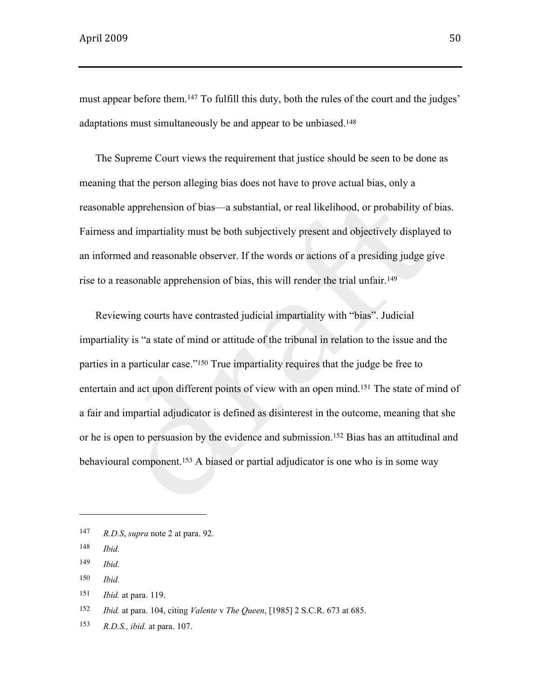must appear before them.<sup>147</sup> To fulfill this duty, both the rules of the court and the judges' adaptations must simultaneously be and appear to be unbiased.<sup>148</sup>

The Supreme Court views the requirement that justice should be seen to be done as meaning that the person alleging bias does not have to prove actual bias, only a reasonable apprehension of bias—a substantial, or real likelihood, or probability of bias. Fairness and impartiality must be both subjectively present and objectively displayed to an informed and reasonable observer. If the words or actions of a presiding judge give rise to a reasonable apprehension of bias, this will render the trial unfair.<sup>149</sup>

Reviewing courts have contrasted judicial impartiality with "bias". Judicial impartiality is "a state of mind or attitude of the tribunal in relation to the issue and the parties in a particular case."150 True impartiality requires that the judge be free to entertain and act upon different points of view with an open mind.151 The state of mind of a fair and impartial adjudicator is defined as disinterest in the outcome, meaning that she or he is open to persuasion by the evidence and submission.152 Bias has an attitudinal and behavioural component.153 A biased or partial adjudicator is one who is in some way

<sup>147</sup> *R.D.S*, *supra* note 2 at para. 92.

<sup>148</sup> *Ibid.*

<sup>149</sup> *Ibid.*

<sup>150</sup> *Ibid.*

<sup>151</sup> *Ibid.* at para. 119.

<sup>152</sup> *Ibid.* at para. 104, citing *Valente* v *The Queen*, [1985] 2 S.C.R. 673 at 685.

<sup>153</sup> *R.D.S., ibid.* at para. 107.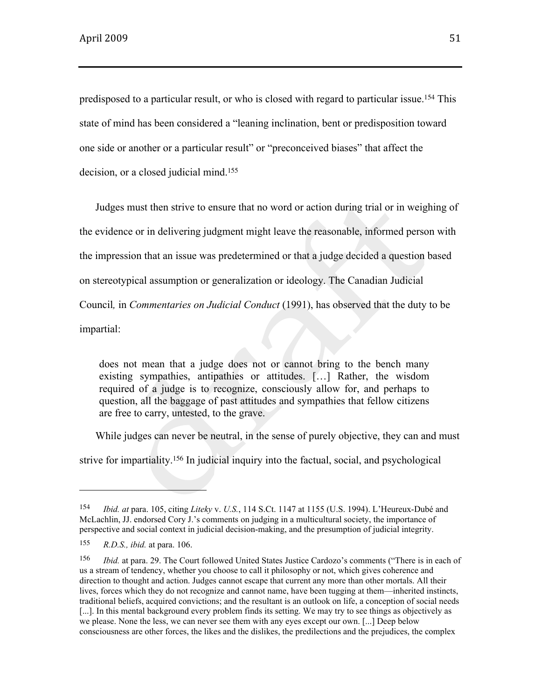predisposed to a particular result, or who is closed with regard to particular issue.154 This state of mind has been considered a "leaning inclination, bent or predisposition toward one side or another or a particular result" or "preconceived biases" that affect the decision, or a closed judicial mind.<sup>155</sup>

Judges must then strive to ensure that no word or action during trial or in weighing of the evidence or in delivering judgment might leave the reasonable, informed person with the impression that an issue was predetermined or that a judge decided a question based on stereotypical assumption or generalization or ideology. The Canadian Judicial Council*,* in *Commentaries on Judicial Conduct* (1991), has observed that the duty to be impartial:

does not mean that a judge does not or cannot bring to the bench many existing sympathies, antipathies or attitudes. […] Rather, the wisdom required of a judge is to recognize, consciously allow for, and perhaps to question, all the baggage of past attitudes and sympathies that fellow citizens are free to carry, untested, to the grave.

While judges can never be neutral, in the sense of purely objective, they can and must

strive for impartiality.156 In judicial inquiry into the factual, social, and psychological

<sup>154</sup> *Ibid. at* para. 105, citing *Liteky* v. *U.S.*, 114 S.Ct. 1147 at 1155 (U.S. 1994). L'Heureux-Dubé and McLachlin, JJ. endorsed Cory J.'s comments on judging in a multicultural society, the importance of perspective and social context in judicial decision-making, and the presumption of judicial integrity.

<sup>155</sup> *R.D.S., ibid.* at para. 106.

<sup>156</sup> *Ibid.* at para. 29. The Court followed United States Justice Cardozo's comments ("There is in each of us a stream of tendency, whether you choose to call it philosophy or not, which gives coherence and direction to thought and action. Judges cannot escape that current any more than other mortals. All their lives, forces which they do not recognize and cannot name, have been tugging at them—inherited instincts, traditional beliefs, acquired convictions; and the resultant is an outlook on life, a conception of social needs [...]. In this mental background every problem finds its setting. We may try to see things as objectively as we please. None the less, we can never see them with any eyes except our own. [...] Deep below consciousness are other forces, the likes and the dislikes, the predilections and the prejudices, the complex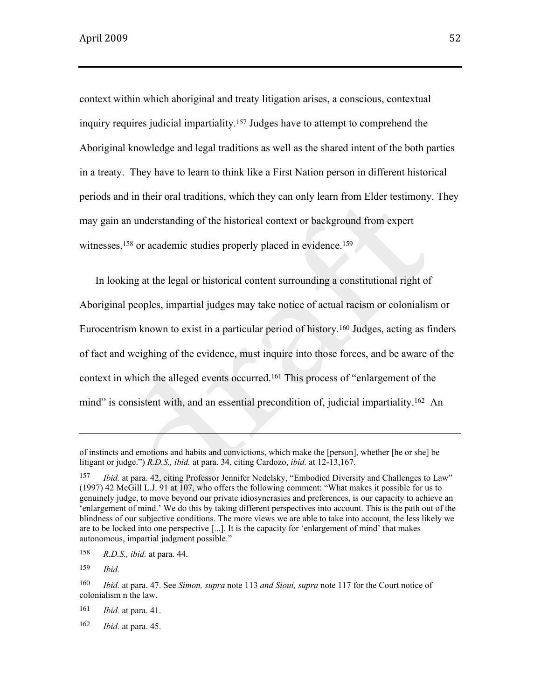context within which aboriginal and treaty litigation arises, a conscious, contextual inquiry requires judicial impartiality.157 Judges have to attempt to comprehend the Aboriginal knowledge and legal traditions as well as the shared intent of the both parties in a treaty. They have to learn to think like a First Nation person in different historical periods and in their oral traditions, which they can only learn from Elder testimony. They may gain an understanding of the historical context or background from expert witnesses,<sup>158</sup> or academic studies properly placed in evidence.<sup>159</sup>

In looking at the legal or historical content surrounding a constitutional right of Aboriginal peoples, impartial judges may take notice of actual racism or colonialism or Eurocentrism known to exist in a particular period of history.160 Judges, acting as finders of fact and weighing of the evidence, must inquire into those forces, and be aware of the context in which the alleged events occurred.161 This process of "enlargement of the mind" is consistent with, and an essential precondition of, judicial impartiality.162 An

159 *Ibid.*

161 *Ibid.* at para. 41.

162 *Ibid.* at para. 45.

of instincts and emotions and habits and convictions, which make the [person], whether [he or she] be litigant or judge.") *R.D.S., ibid.* at para. 34, citing Cardozo, *ibid.* at 12-13,167.

<sup>157</sup> *Ibid.* at para. 42, citing Professor Jennifer Nedelsky, "Embodied Diversity and Challenges to Law" (1997) 42 McGill L.J. 91 at 107, who offers the following comment: "What makes it possible for us to genuinely judge, to move beyond our private idiosyncrasies and preferences, is our capacity to achieve an 'enlargement of mind.' We do this by taking different perspectives into account. This is the path out of the blindness of our subjective conditions. The more views we are able to take into account, the less likely we are to be locked into one perspective [...]. It is the capacity for 'enlargement of mind' that makes autonomous, impartial judgment possible."

<sup>158</sup> *R.D.S., ibid.* at para. 44.

<sup>160</sup> *Ibid.* at para. 47. See *Simon, supra* note 113 *and Sioui, supra* note 117 for the Court notice of colonialism n the law.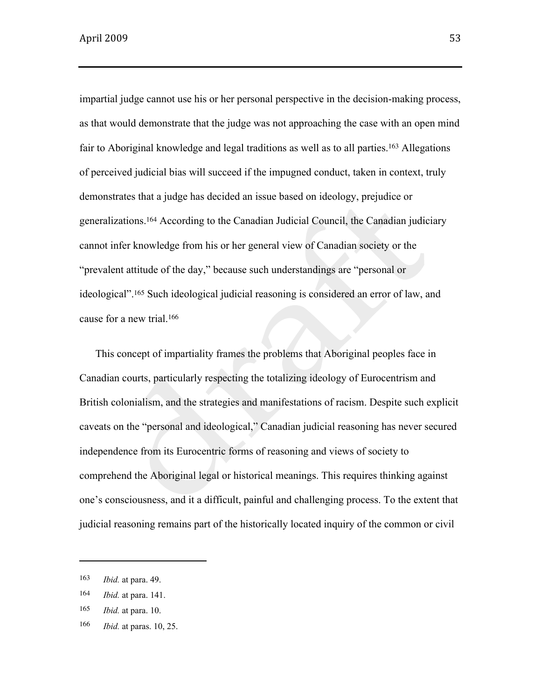impartial judge cannot use his or her personal perspective in the decision-making process, as that would demonstrate that the judge was not approaching the case with an open mind fair to Aboriginal knowledge and legal traditions as well as to all parties.<sup>163</sup> Allegations of perceived judicial bias will succeed if the impugned conduct, taken in context, truly demonstrates that a judge has decided an issue based on ideology, prejudice or generalizations.164 According to the Canadian Judicial Council, the Canadian judiciary cannot infer knowledge from his or her general view of Canadian society or the "prevalent attitude of the day," because such understandings are "personal or ideological".165 Such ideological judicial reasoning is considered an error of law, and cause for a new trial.<sup>166</sup>

This concept of impartiality frames the problems that Aboriginal peoples face in Canadian courts, particularly respecting the totalizing ideology of Eurocentrism and British colonialism, and the strategies and manifestations of racism. Despite such explicit caveats on the "personal and ideological," Canadian judicial reasoning has never secured independence from its Eurocentric forms of reasoning and views of society to comprehend the Aboriginal legal or historical meanings. This requires thinking against one's consciousness, and it a difficult, painful and challenging process. To the extent that judicial reasoning remains part of the historically located inquiry of the common or civil

<sup>163</sup> *Ibid.* at para. 49.

<sup>164</sup> *Ibid.* at para. 141.

<sup>165</sup> *Ibid.* at para. 10.

<sup>166</sup> *Ibid.* at paras. 10, 25.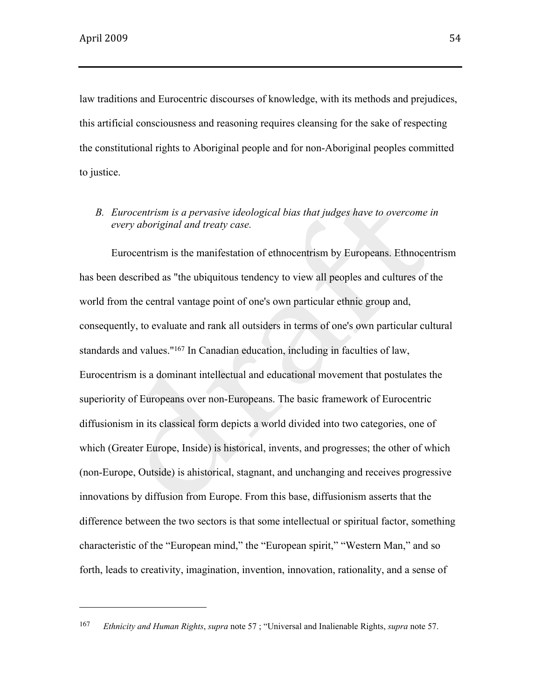law traditions and Eurocentric discourses of knowledge, with its methods and prejudices, this artificial consciousness and reasoning requires cleansing for the sake of respecting the constitutional rights to Aboriginal people and for non-Aboriginal peoples committed to justice.

*B. Eurocentrism is a pervasive ideological bias that judges have to overcome in every aboriginal and treaty case.* 

Eurocentrism is the manifestation of ethnocentrism by Europeans. Ethnocentrism has been described as "the ubiquitous tendency to view all peoples and cultures of the world from the central vantage point of one's own particular ethnic group and, consequently, to evaluate and rank all outsiders in terms of one's own particular cultural standards and values."167 In Canadian education, including in faculties of law, Eurocentrism is a dominant intellectual and educational movement that postulates the superiority of Europeans over non-Europeans. The basic framework of Eurocentric diffusionism in its classical form depicts a world divided into two categories, one of which (Greater Europe, Inside) is historical, invents, and progresses; the other of which (non-Europe, Outside) is ahistorical, stagnant, and unchanging and receives progressive innovations by diffusion from Europe. From this base, diffusionism asserts that the difference between the two sectors is that some intellectual or spiritual factor, something characteristic of the "European mind," the "European spirit," "Western Man," and so forth, leads to creativity, imagination, invention, innovation, rationality, and a sense of

<sup>167</sup> *Ethnicity and Human Rights*, *supra* note 57 ; "Universal and Inalienable Rights, *supra* note 57.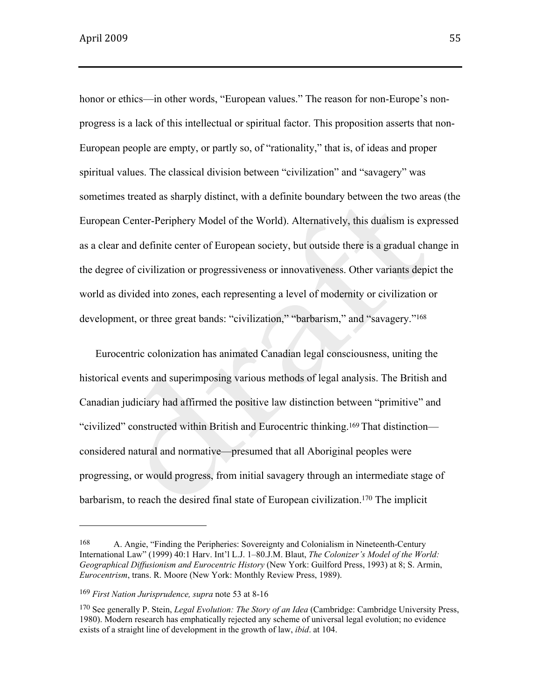honor or ethics—in other words, "European values." The reason for non-Europe's nonprogress is a lack of this intellectual or spiritual factor. This proposition asserts that non-European people are empty, or partly so, of "rationality," that is, of ideas and proper spiritual values. The classical division between "civilization" and "savagery" was sometimes treated as sharply distinct, with a definite boundary between the two areas (the European Center-Periphery Model of the World). Alternatively, this dualism is expressed as a clear and definite center of European society, but outside there is a gradual change in the degree of civilization or progressiveness or innovativeness. Other variants depict the world as divided into zones, each representing a level of modernity or civilization or development, or three great bands: "civilization," "barbarism," and "savagery."<sup>168</sup>

Eurocentric colonization has animated Canadian legal consciousness, uniting the historical events and superimposing various methods of legal analysis. The British and Canadian judiciary had affirmed the positive law distinction between "primitive" and "civilized" constructed within British and Eurocentric thinking.<sup>169</sup> That distinction considered natural and normative—presumed that all Aboriginal peoples were progressing, or would progress, from initial savagery through an intermediate stage of barbarism, to reach the desired final state of European civilization.<sup>170</sup> The implicit

<sup>168</sup> A. Angie, "Finding the Peripheries: Sovereignty and Colonialism in Nineteenth-Century International Law" (1999) 40:1 Harv. Int'l L.J. 1–80.J.M. Blaut, *The Colonizer's Model of the World: Geographical Diffusionism and Eurocentric History* (New York: Guilford Press, 1993) at 8; S. Armin, *Eurocentrism*, trans. R. Moore (New York: Monthly Review Press, 1989).

<sup>169</sup> *First Nation Jurisprudence, supra* note 53 at 8-16

<sup>170</sup> See generally P. Stein, *Legal Evolution: The Story of an Idea* (Cambridge: Cambridge University Press, 1980). Modern research has emphatically rejected any scheme of universal legal evolution; no evidence exists of a straight line of development in the growth of law, *ibid*. at 104.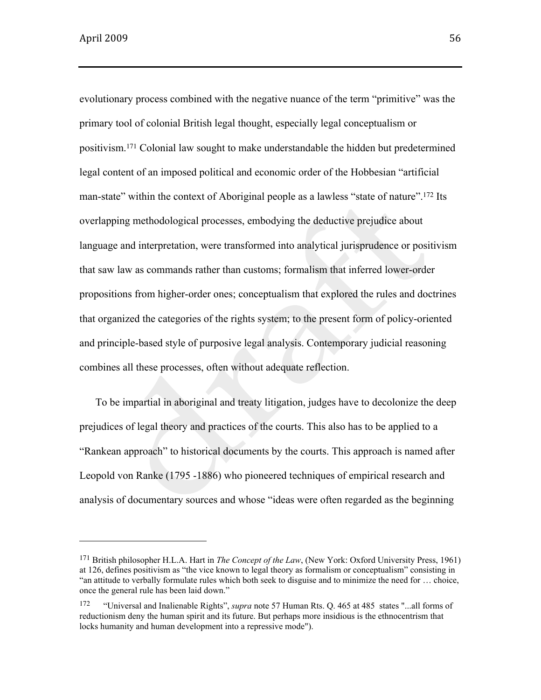evolutionary process combined with the negative nuance of the term "primitive" was the primary tool of colonial British legal thought, especially legal conceptualism or positivism.<sup>171</sup> Colonial law sought to make understandable the hidden but predetermined legal content of an imposed political and economic order of the Hobbesian "artificial man-state" within the context of Aboriginal people as a lawless "state of nature".<sup>172</sup> Its overlapping methodological processes, embodying the deductive prejudice about language and interpretation, were transformed into analytical jurisprudence or positivism that saw law as commands rather than customs; formalism that inferred lower-order propositions from higher-order ones; conceptualism that explored the rules and doctrines that organized the categories of the rights system; to the present form of policy-oriented and principle-based style of purposive legal analysis. Contemporary judicial reasoning combines all these processes, often without adequate reflection.

To be impartial in aboriginal and treaty litigation, judges have to decolonize the deep prejudices of legal theory and practices of the courts. This also has to be applied to a "Rankean approach" to historical documents by the courts. This approach is named after Leopold von Ranke (1795 -1886) who pioneered techniques of empirical research and analysis of documentary sources and whose "ideas were often regarded as the beginning

<sup>171</sup> British philosopher H.L.A. Hart in *The Concept of the Law*, (New York: Oxford University Press, 1961) at 126, defines positivism as "the vice known to legal theory as formalism or conceptualism" consisting in "an attitude to verbally formulate rules which both seek to disguise and to minimize the need for … choice, once the general rule has been laid down."

<sup>172</sup> "Universal and Inalienable Rights", *supra* note 57 Human Rts. Q. 465 at 485 states "...all forms of reductionism deny the human spirit and its future. But perhaps more insidious is the ethnocentrism that locks humanity and human development into a repressive mode").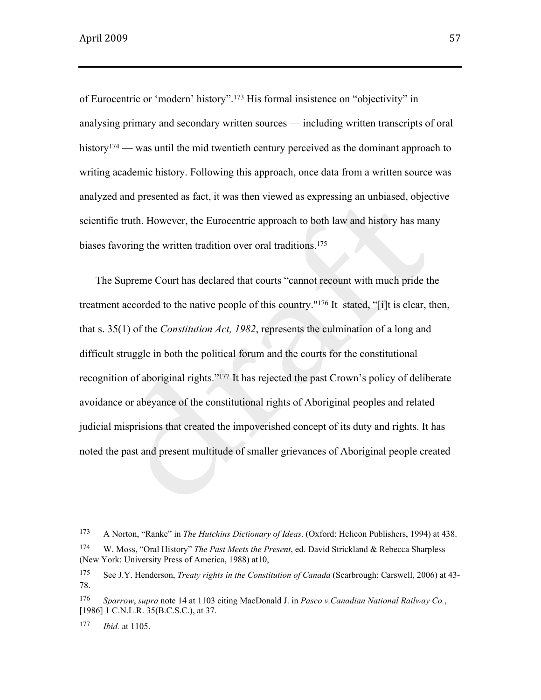of Eurocentric or 'modern' history".173 His formal insistence on "objectivity" in analysing primary and secondary written sources — including written transcripts of oral history<sup>174</sup> — was until the mid twentieth century perceived as the dominant approach to writing academic history. Following this approach, once data from a written source was analyzed and presented as fact, it was then viewed as expressing an unbiased, objective scientific truth. However, the Eurocentric approach to both law and history has many biases favoring the written tradition over oral traditions.<sup>175</sup>

The Supreme Court has declared that courts "cannot recount with much pride the treatment accorded to the native people of this country."176 It stated, "[i]t is clear, then, that s. 35(1) of the *Constitution Act, 1982*, represents the culmination of a long and difficult struggle in both the political forum and the courts for the constitutional recognition of aboriginal rights."<sup>177</sup> It has rejected the past Crown's policy of deliberate avoidance or abeyance of the constitutional rights of Aboriginal peoples and related judicial misprisions that created the impoverished concept of its duty and rights. It has noted the past and present multitude of smaller grievances of Aboriginal people created

<sup>173</sup> A Norton, "Ranke" in *The Hutchins Dictionary of Ideas*. (Oxford: Helicon Publishers, 1994) at 438.

<sup>174</sup> W. Moss, "Oral History" *The Past Meets the Present*, ed. David Strickland & Rebecca Sharpless (New York: University Press of America, 1988) at10,

<sup>175</sup> See J.Y. Henderson, *Treaty rights in the Constitution of Canada* (Scarbrough: Carswell, 2006) at 43- 78.

<sup>176</sup> *Sparrow*, *supra* note 14 at 1103 citing MacDonald J. in *Pasco v.Canadian National Railway Co.*, [1986] 1 C.N.L.R. 35(B.C.S.C.), at 37.

<sup>177</sup> *Ibid.* at 1105.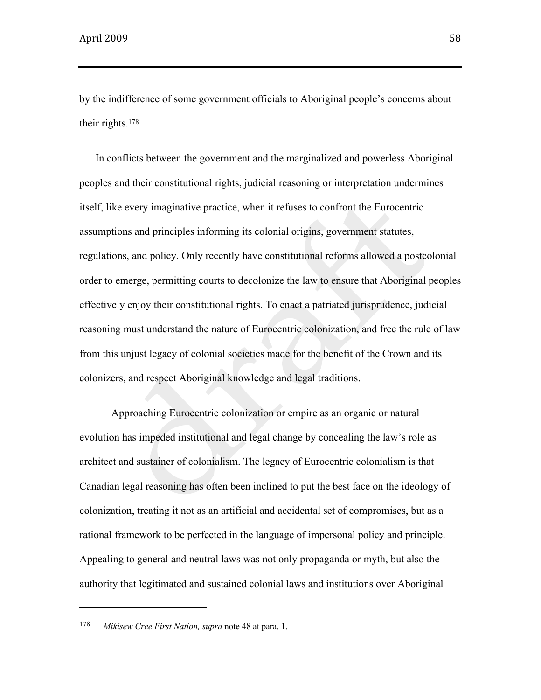by the indifference of some government officials to Aboriginal people's concerns about their rights.<sup>178</sup>

In conflicts between the government and the marginalized and powerless Aboriginal peoples and their constitutional rights, judicial reasoning or interpretation undermines itself, like every imaginative practice, when it refuses to confront the Eurocentric assumptions and principles informing its colonial origins, government statutes, regulations, and policy. Only recently have constitutional reforms allowed a postcolonial order to emerge, permitting courts to decolonize the law to ensure that Aboriginal peoples effectively enjoy their constitutional rights. To enact a patriated jurisprudence, judicial reasoning must understand the nature of Eurocentric colonization, and free the rule of law from this unjust legacy of colonial societies made for the benefit of the Crown and its colonizers, and respect Aboriginal knowledge and legal traditions.

Approaching Eurocentric colonization or empire as an organic or natural evolution has impeded institutional and legal change by concealing the law's role as architect and sustainer of colonialism. The legacy of Eurocentric colonialism is that Canadian legal reasoning has often been inclined to put the best face on the ideology of colonization, treating it not as an artificial and accidental set of compromises, but as a rational framework to be perfected in the language of impersonal policy and principle. Appealing to general and neutral laws was not only propaganda or myth, but also the authority that legitimated and sustained colonial laws and institutions over Aboriginal

<sup>178</sup> *Mikisew Cree First Nation, supra* note 48 at para. 1.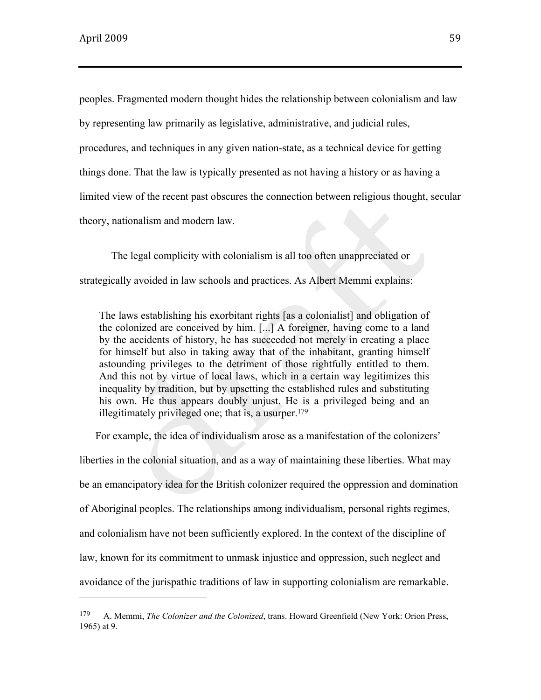peoples. Fragmented modern thought hides the relationship between colonialism and law by representing law primarily as legislative, administrative, and judicial rules, procedures, and techniques in any given nation-state, as a technical device for getting things done. That the law is typically presented as not having a history or as having a limited view of the recent past obscures the connection between religious thought, secular theory, nationalism and modern law.

The legal complicity with colonialism is all too often unappreciated or strategically avoided in law schools and practices. As Albert Memmi explains:

The laws establishing his exorbitant rights [as a colonialist] and obligation of the colonized are conceived by him. [...] A foreigner, having come to a land by the accidents of history, he has succeeded not merely in creating a place for himself but also in taking away that of the inhabitant, granting himself astounding privileges to the detriment of those rightfully entitled to them. And this not by virtue of local laws, which in a certain way legitimizes this inequality by tradition, but by upsetting the established rules and substituting his own. He thus appears doubly unjust. He is a privileged being and an illegitimately privileged one; that is, a usurper.<sup>179</sup>

For example, the idea of individualism arose as a manifestation of the colonizers' liberties in the colonial situation, and as a way of maintaining these liberties. What may be an emancipatory idea for the British colonizer required the oppression and domination of Aboriginal peoples. The relationships among individualism, personal rights regimes, and colonialism have not been sufficiently explored. In the context of the discipline of law, known for its commitment to unmask injustice and oppression, such neglect and avoidance of the jurispathic traditions of law in supporting colonialism are remarkable.

<sup>179</sup> A. Memmi, *The Colonizer and the Colonized*, trans. Howard Greenfield (New York: Orion Press, 1965) at 9.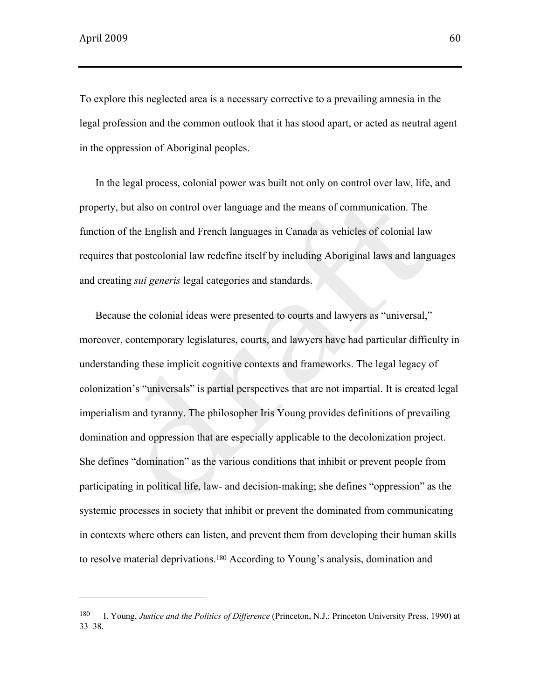To explore this neglected area is a necessary corrective to a prevailing amnesia in the legal profession and the common outlook that it has stood apart, or acted as neutral agent in the oppression of Aboriginal peoples.

In the legal process, colonial power was built not only on control over law, life, and property, but also on control over language and the means of communication. The function of the English and French languages in Canada as vehicles of colonial law requires that postcolonial law redefine itself by including Aboriginal laws and languages and creating *sui generis* legal categories and standards.

Because the colonial ideas were presented to courts and lawyers as "universal," moreover, contemporary legislatures, courts, and lawyers have had particular difficulty in understanding these implicit cognitive contexts and frameworks. The legal legacy of colonization's "universals" is partial perspectives that are not impartial. It is created legal imperialism and tyranny. The philosopher Iris Young provides definitions of prevailing domination and oppression that are especially applicable to the decolonization project. She defines "domination" as the various conditions that inhibit or prevent people from participating in political life, law- and decision-making; she defines "oppression" as the systemic processes in society that inhibit or prevent the dominated from communicating in contexts where others can listen, and prevent them from developing their human skills to resolve material deprivations.180 According to Young's analysis, domination and

<sup>180</sup> I. Young, *Justice and the Politics of Difference* (Princeton, N.J.: Princeton University Press, 1990) at 33–38.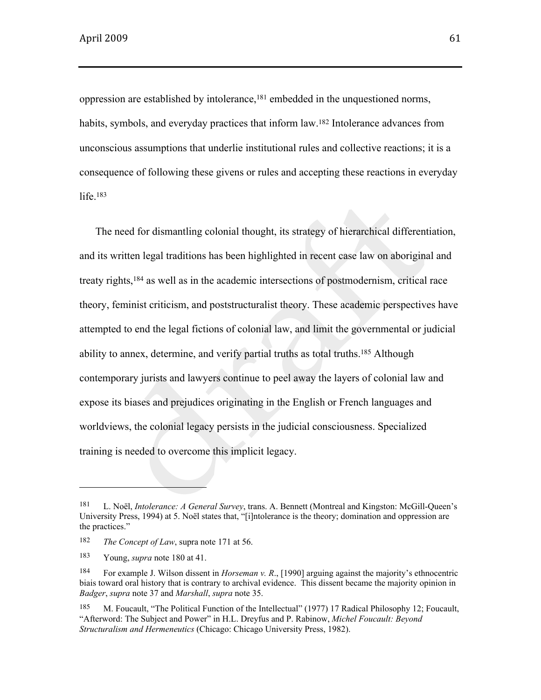oppression are established by intolerance,181 embedded in the unquestioned norms, habits, symbols, and everyday practices that inform law.<sup>182</sup> Intolerance advances from unconscious assumptions that underlie institutional rules and collective reactions; it is a consequence of following these givens or rules and accepting these reactions in everyday life.<sup>183</sup>

The need for dismantling colonial thought, its strategy of hierarchical differentiation, and its written legal traditions has been highlighted in recent case law on aboriginal and treaty rights,184 as well as in the academic intersections of postmodernism, critical race theory, feminist criticism, and poststructuralist theory. These academic perspectives have attempted to end the legal fictions of colonial law, and limit the governmental or judicial ability to annex, determine, and verify partial truths as total truths.185 Although contemporary jurists and lawyers continue to peel away the layers of colonial law and expose its biases and prejudices originating in the English or French languages and worldviews, the colonial legacy persists in the judicial consciousness. Specialized training is needed to overcome this implicit legacy.

<sup>181</sup> L. Noël, *Intolerance: A General Survey*, trans. A. Bennett (Montreal and Kingston: McGill-Queen's University Press, 1994) at 5. Noël states that, "[i]ntolerance is the theory; domination and oppression are the practices."

<sup>182</sup> *The Concept of Law*, supra note 171 at 56.

<sup>183</sup> Young, *supra* note 180 at 41.

<sup>184</sup> For example J. Wilson dissent in *Horseman v. R*., [1990] arguing against the majority's ethnocentric biais toward oral history that is contrary to archival evidence. This dissent became the majority opinion in *Badger*, *supra* note 37 and *Marshall*, *supra* note 35.

<sup>185</sup> M. Foucault, "The Political Function of the Intellectual" (1977) 17 Radical Philosophy 12; Foucault, "Afterword: The Subject and Power" in H.L. Dreyfus and P. Rabinow, *Michel Foucault: Beyond Structuralism and Hermeneutics* (Chicago: Chicago University Press, 1982).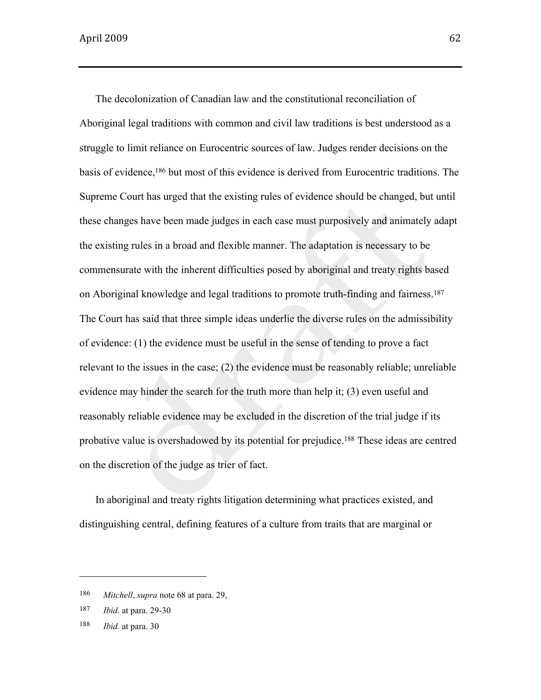The decolonization of Canadian law and the constitutional reconciliation of Aboriginal legal traditions with common and civil law traditions is best understood as a struggle to limit reliance on Eurocentric sources of law. Judges render decisions on the basis of evidence,186 but most of this evidence is derived from Eurocentric traditions. The Supreme Court has urged that the existing rules of evidence should be changed, but until these changes have been made judges in each case must purposively and animately adapt the existing rules in a broad and flexible manner. The adaptation is necessary to be commensurate with the inherent difficulties posed by aboriginal and treaty rights based on Aboriginal knowledge and legal traditions to promote truth-finding and fairness.<sup>187</sup> The Court has said that three simple ideas underlie the diverse rules on the admissibility of evidence: (1) the evidence must be useful in the sense of tending to prove a fact relevant to the issues in the case; (2) the evidence must be reasonably reliable; unreliable evidence may hinder the search for the truth more than help it; (3) even useful and reasonably reliable evidence may be excluded in the discretion of the trial judge if its probative value is overshadowed by its potential for prejudice.188 These ideas are centred on the discretion of the judge as trier of fact.

In aboriginal and treaty rights litigation determining what practices existed, and distinguishing central, defining features of a culture from traits that are marginal or

<sup>186</sup> *Mitchell*, *supra* note 68 at para. 29,

<sup>187</sup> *Ibid*. at para. 29-30

<sup>188</sup> *Ibid.* at para. 30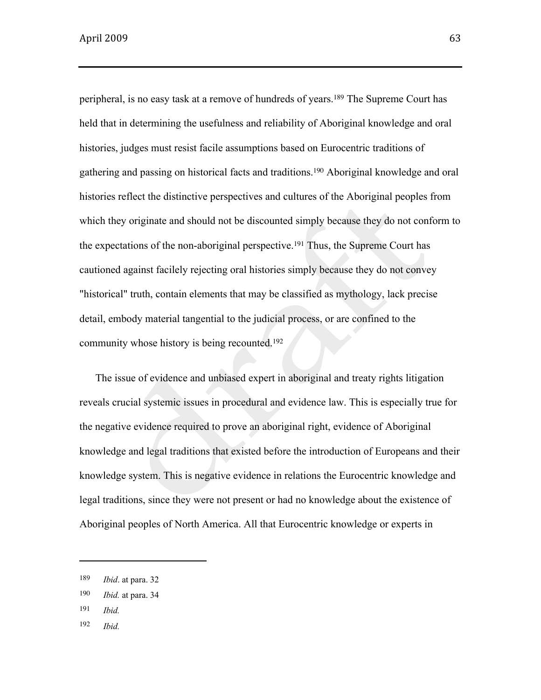peripheral, is no easy task at a remove of hundreds of years.189 The Supreme Court has held that in determining the usefulness and reliability of Aboriginal knowledge and oral histories, judges must resist facile assumptions based on Eurocentric traditions of gathering and passing on historical facts and traditions.190 Aboriginal knowledge and oral histories reflect the distinctive perspectives and cultures of the Aboriginal peoples from which they originate and should not be discounted simply because they do not conform to the expectations of the non-aboriginal perspective.191 Thus, the Supreme Court has cautioned against facilely rejecting oral histories simply because they do not convey "historical" truth, contain elements that may be classified as mythology, lack precise detail, embody material tangential to the judicial process, or are confined to the community whose history is being recounted.<sup>192</sup>

The issue of evidence and unbiased expert in aboriginal and treaty rights litigation reveals crucial systemic issues in procedural and evidence law. This is especially true for the negative evidence required to prove an aboriginal right, evidence of Aboriginal knowledge and legal traditions that existed before the introduction of Europeans and their knowledge system. This is negative evidence in relations the Eurocentric knowledge and legal traditions, since they were not present or had no knowledge about the existence of Aboriginal peoples of North America. All that Eurocentric knowledge or experts in

- 191 *Ibid.*
- 192 *Ibid.*

<sup>189</sup> *Ibid*. at para. 32

<sup>190</sup> *Ibid.* at para. 34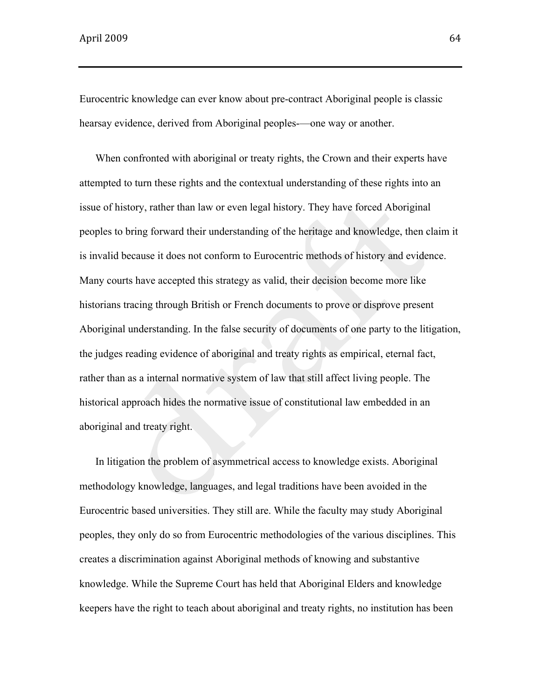Eurocentric knowledge can ever know about pre-contract Aboriginal people is classic hearsay evidence, derived from Aboriginal peoples-—one way or another.

When confronted with aboriginal or treaty rights, the Crown and their experts have attempted to turn these rights and the contextual understanding of these rights into an issue of history, rather than law or even legal history. They have forced Aboriginal peoples to bring forward their understanding of the heritage and knowledge, then claim it is invalid because it does not conform to Eurocentric methods of history and evidence. Many courts have accepted this strategy as valid, their decision become more like historians tracing through British or French documents to prove or disprove present Aboriginal understanding. In the false security of documents of one party to the litigation, the judges reading evidence of aboriginal and treaty rights as empirical, eternal fact, rather than as a internal normative system of law that still affect living people. The historical approach hides the normative issue of constitutional law embedded in an aboriginal and treaty right.

In litigation the problem of asymmetrical access to knowledge exists. Aboriginal methodology knowledge, languages, and legal traditions have been avoided in the Eurocentric based universities. They still are. While the faculty may study Aboriginal peoples, they only do so from Eurocentric methodologies of the various disciplines. This creates a discrimination against Aboriginal methods of knowing and substantive knowledge. While the Supreme Court has held that Aboriginal Elders and knowledge keepers have the right to teach about aboriginal and treaty rights, no institution has been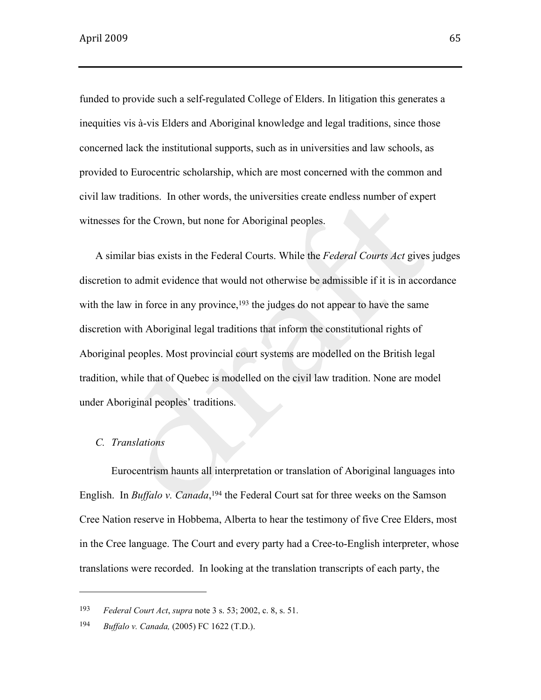funded to provide such a self-regulated College of Elders. In litigation this generates a inequities vis à-vis Elders and Aboriginal knowledge and legal traditions, since those concerned lack the institutional supports, such as in universities and law schools, as provided to Eurocentric scholarship, which are most concerned with the common and civil law traditions. In other words, the universities create endless number of expert witnesses for the Crown, but none for Aboriginal peoples.

A similar bias exists in the Federal Courts. While the *Federal Courts Act* gives judges discretion to admit evidence that would not otherwise be admissible if it is in accordance with the law in force in any province,<sup>193</sup> the judges do not appear to have the same discretion with Aboriginal legal traditions that inform the constitutional rights of Aboriginal peoples. Most provincial court systems are modelled on the British legal tradition, while that of Quebec is modelled on the civil law tradition. None are model under Aboriginal peoples' traditions.

## *C. Translations*

Eurocentrism haunts all interpretation or translation of Aboriginal languages into English. In *Buffalo v. Canada*,<sup>194</sup> the Federal Court sat for three weeks on the Samson Cree Nation reserve in Hobbema, Alberta to hear the testimony of five Cree Elders, most in the Cree language. The Court and every party had a Cree-to-English interpreter, whose translations were recorded. In looking at the translation transcripts of each party, the

<sup>193</sup> *Federal Court Act*, *supra* note 3 s. 53; 2002, c. 8, s. 51.

<sup>194</sup> *Buffalo v. Canada,* (2005) FC 1622 (T.D.).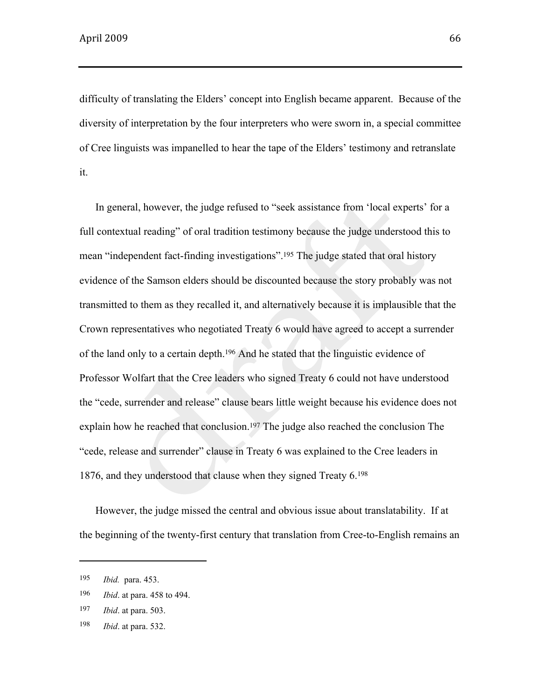difficulty of translating the Elders' concept into English became apparent. Because of the diversity of interpretation by the four interpreters who were sworn in, a special committee of Cree linguists was impanelled to hear the tape of the Elders' testimony and retranslate it.

In general, however, the judge refused to "seek assistance from 'local experts' for a full contextual reading" of oral tradition testimony because the judge understood this to mean "independent fact-finding investigations".<sup>195</sup> The judge stated that oral history evidence of the Samson elders should be discounted because the story probably was not transmitted to them as they recalled it, and alternatively because it is implausible that the Crown representatives who negotiated Treaty 6 would have agreed to accept a surrender of the land only to a certain depth.196 And he stated that the linguistic evidence of Professor Wolfart that the Cree leaders who signed Treaty 6 could not have understood the "cede, surrender and release" clause bears little weight because his evidence does not explain how he reached that conclusion.<sup>197</sup> The judge also reached the conclusion The "cede, release and surrender" clause in Treaty 6 was explained to the Cree leaders in 1876, and they understood that clause when they signed Treaty 6.<sup>198</sup>

However, the judge missed the central and obvious issue about translatability. If at the beginning of the twenty-first century that translation from Cree-to-English remains an

<sup>195</sup> *Ibid.* para. 453.

<sup>196</sup> *Ibid*. at para. 458 to 494.

<sup>197</sup> *Ibid*. at para. 503.

<sup>198</sup> *Ibid*. at para. 532.